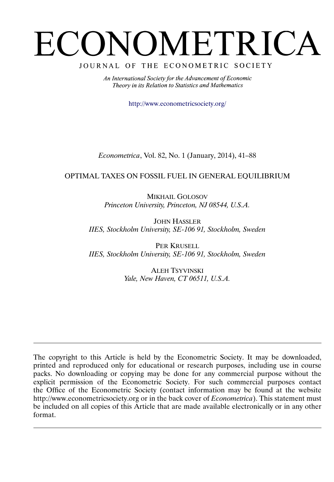# ECONOMETRICA

# JOURNAL OF THE ECONOMETRIC SOCIETY

An International Society for the Advancement of Economic Theory in its Relation to Statistics and Mathematics

<http://www.econometricsociety.org/>

*Econometrica*, Vol. 82, No. 1 (January, 2014), 41–88

# OPTIMAL TAXES ON FOSSIL FUEL IN GENERAL EQUILIBRIUM

MIKHAIL GOLOSOV *Princeton University, Princeton, NJ 08544, U.S.A.*

JOHN HASSLER *IIES, Stockholm University, SE-106 91, Stockholm, Sweden*

PER KRUSELL *IIES, Stockholm University, SE-106 91, Stockholm, Sweden*

> ALEH TSYVINSKI *Yale, New Haven, CT 06511, U.S.A.*

The copyright to this Article is held by the Econometric Society. It may be downloaded, printed and reproduced only for educational or research purposes, including use in course packs. No downloading or copying may be done for any commercial purpose without the explicit permission of the Econometric Society. For such commercial purposes contact the Office of the Econometric Society (contact information may be found at the website http://www.econometricsociety.org or in the back cover of *Econometrica*). This statement must be included on all copies of this Article that are made available electronically or in any other format.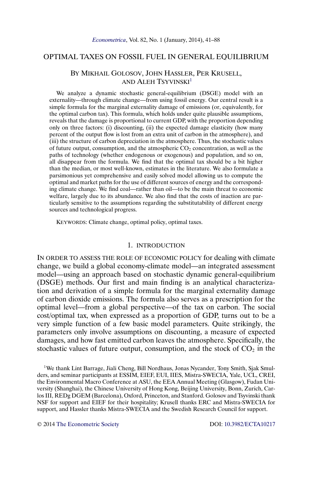# OPTIMAL TAXES ON FOSSIL FUEL IN GENERAL EQUILIBRIUM

# BY MIKHAIL GOLOSOV, JOHN HASSLER, PER KRUSELL, AND ALEH TSYVINSKI<sup>1</sup>

We analyze a dynamic stochastic general-equilibrium (DSGE) model with an externality—through climate change—from using fossil energy. Our central result is a simple formula for the marginal externality damage of emissions (or, equivalently, for the optimal carbon tax). This formula, which holds under quite plausible assumptions, reveals that the damage is proportional to current GDP, with the proportion depending only on three factors: (i) discounting, (ii) the expected damage elasticity (how many percent of the output flow is lost from an extra unit of carbon in the atmosphere), and (iii) the structure of carbon depreciation in the atmosphere. Thus, the stochastic values of future output, consumption, and the atmospheric  $CO<sub>2</sub>$  concentration, as well as the paths of technology (whether endogenous or exogenous) and population, and so on, all disappear from the formula. We find that the optimal tax should be a bit higher than the median, or most well-known, estimates in the literature. We also formulate a parsimonious yet comprehensive and easily solved model allowing us to compute the optimal and market paths for the use of different sources of energy and the corresponding climate change. We find coal—rather than oil—to be the main threat to economic welfare, largely due to its abundance. We also find that the costs of inaction are particularly sensitive to the assumptions regarding the substitutability of different energy sources and technological progress.

KEYWORDS: Climate change, optimal policy, optimal taxes.

#### 1. INTRODUCTION

IN ORDER TO ASSESS THE ROLE OF ECONOMIC POLICY for dealing with climate change, we build a global economy-climate model—an integrated assessment model—using an approach based on stochastic dynamic general-equilibrium (DSGE) methods. Our first and main finding is an analytical characterization and derivation of a simple formula for the marginal externality damage of carbon dioxide emissions. The formula also serves as a prescription for the optimal level—from a global perspective—of the tax on carbon. The social cost/optimal tax, when expressed as a proportion of GDP, turns out to be a very simple function of a few basic model parameters. Quite strikingly, the parameters only involve assumptions on discounting, a measure of expected damages, and how fast emitted carbon leaves the atmosphere. Specifically, the stochastic values of future output, consumption, and the stock of  $CO<sub>2</sub>$  in the

1We thank Lint Barrage, Jiali Cheng, Bill Nordhaus, Jonas Nycander, Tony Smith, Sjak Smulders, and seminar participants at ESSIM, EIEF, EUI, IIES, Mistra-SWECIA, Yale, UCL, CREI, the Environmental Macro Conference at ASU, the EEA Annual Meeting (Glasgow), Fudan University (Shanghai), the Chinese University of Hong Kong, Beijing University, Bonn, Zurich, Carlos III, REDg DGEM (Barcelona), Oxford, Princeton, and Stanford. Golosov and Tsyvinski thank NSF for support and EIEF for their hospitality; Krusell thanks ERC and Mistra-SWECIA for support, and Hassler thanks Mistra-SWECIA and the Swedish Research Council for support.

© 2014 [The Econometric Society](http://www.econometricsociety.org/) DOI: [10.3982/ECTA10217](http://dx.doi.org/10.3982/ECTA10217)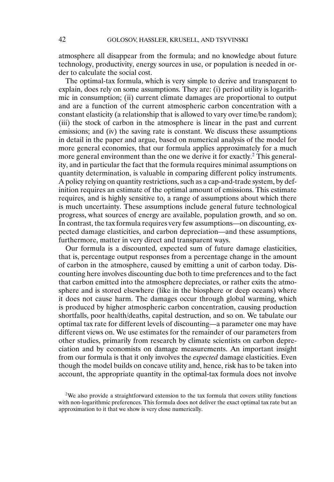<span id="page-2-0"></span>atmosphere all disappear from the formula; and no knowledge about future technology, productivity, energy sources in use, or population is needed in order to calculate the social cost.

The optimal-tax formula, which is very simple to derive and transparent to explain, does rely on some assumptions. They are: (i) period utility is logarithmic in consumption; (ii) current climate damages are proportional to output and are a function of the current atmospheric carbon concentration with a constant elasticity (a relationship that is allowed to vary over time/be random); (iii) the stock of carbon in the atmosphere is linear in the past and current emissions; and (iv) the saving rate is constant. We discuss these assumptions in detail in the paper and argue, based on numerical analysis of the model for more general economies, that our formula applies approximately for a much more general environment than the one we derive it for exactly.<sup>2</sup> This generality, and in particular the fact that the formula requires minimal assumptions on quantity determination, is valuable in comparing different policy instruments. A policy relying on quantity restrictions, such as a cap-and-trade system, by definition requires an estimate of the optimal amount of emissions. This estimate requires, and is highly sensitive to, a range of assumptions about which there is much uncertainty. These assumptions include general future technological progress, what sources of energy are available, population growth, and so on. In contrast, the tax formula requires very few assumptions—on discounting, expected damage elasticities, and carbon depreciation—and these assumptions, furthermore, matter in very direct and transparent ways.

Our formula is a discounted, expected sum of future damage elasticities, that is, percentage output responses from a percentage change in the amount of carbon in the atmosphere, caused by emitting a unit of carbon today. Discounting here involves discounting due both to time preferences and to the fact that carbon emitted into the atmosphere depreciates, or rather exits the atmosphere and is stored elsewhere (like in the biosphere or deep oceans) where it does not cause harm. The damages occur through global warming, which is produced by higher atmospheric carbon concentration, causing production shortfalls, poor health/deaths, capital destruction, and so on. We tabulate our optimal tax rate for different levels of discounting—a parameter one may have different views on. We use estimates for the remainder of our parameters from other studies, primarily from research by climate scientists on carbon depreciation and by economists on damage measurements. An important insight from our formula is that it only involves the *expected* damage elasticities. Even though the model builds on concave utility and, hence, risk has to be taken into account, the appropriate quantity in the optimal-tax formula does not involve

<sup>2</sup>We also provide a straightforward extension to the tax formula that covers utility functions with non-logarithmic preferences. This formula does not deliver the exact optimal tax rate but an approximation to it that we show is very close numerically.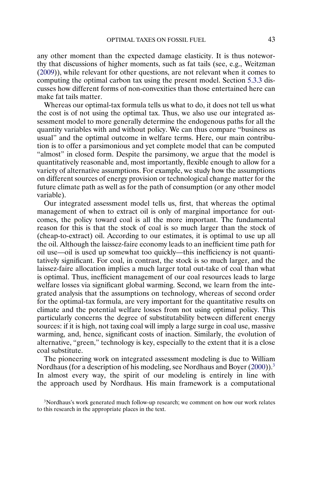<span id="page-3-0"></span>any other moment than the expected damage elasticity. It is thus noteworthy that discussions of higher moments, such as fat tails (see, e.g., Weitzman [\(2009\)](#page-47-0)), while relevant for other questions, are not relevant when it comes to computing the optimal carbon tax using the present model. Section [5.3.3](#page-40-0) discusses how different forms of non-convexities than those entertained here can make fat tails matter.

Whereas our optimal-tax formula tells us what to do, it does not tell us what the cost is of not using the optimal tax. Thus, we also use our integrated assessment model to more generally determine the endogenous paths for all the quantity variables with and without policy. We can thus compare "business as usual" and the optimal outcome in welfare terms. Here, our main contribution is to offer a parsimonious and yet complete model that can be computed "almost" in closed form. Despite the parsimony, we argue that the model is quantitatively reasonable and, most importantly, flexible enough to allow for a variety of alternative assumptions. For example, we study how the assumptions on different sources of energy provision or technological change matter for the future climate path as well as for the path of consumption (or any other model variable).

Our integrated assessment model tells us, first, that whereas the optimal management of when to extract oil is only of marginal importance for outcomes, the policy toward coal is all the more important. The fundamental reason for this is that the stock of coal is so much larger than the stock of (cheap-to-extract) oil. According to our estimates, it is optimal to use up all the oil. Although the laissez-faire economy leads to an inefficient time path for oil use—oil is used up somewhat too quickly—this inefficiency is not quantitatively significant. For coal, in contrast, the stock is so much larger, and the laissez-faire allocation implies a much larger total out-take of coal than what is optimal. Thus, inefficient management of our coal resources leads to large welfare losses via significant global warming. Second, we learn from the integrated analysis that the assumptions on technology, whereas of second order for the optimal-tax formula, are very important for the quantitative results on climate and the potential welfare losses from not using optimal policy. This particularly concerns the degree of substitutability between different energy sources: if it is high, not taxing coal will imply a large surge in coal use, massive warming, and, hence, significant costs of inaction. Similarly, the evolution of alternative, "green," technology is key, especially to the extent that it is a close coal substitute.

The pioneering work on integrated assessment modeling is due to William Nordhaus (for a description of his modeling, see Nordhaus and Boyer [\(2000\)](#page-46-0)).<sup>3</sup> In almost every way, the spirit of our modeling is entirely in line with the approach used by Nordhaus. His main framework is a computational

3Nordhaus's work generated much follow-up research; we comment on how our work relates to this research in the appropriate places in the text.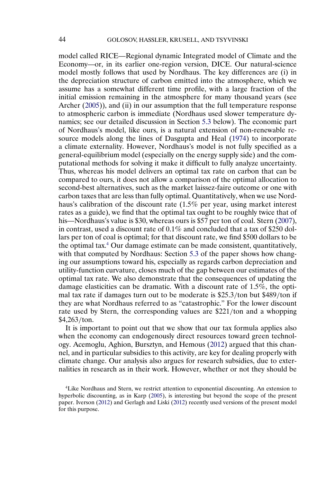<span id="page-4-0"></span>model called RICE—Regional dynamic Integrated model of Climate and the Economy—or, in its earlier one-region version, DICE. Our natural-science model mostly follows that used by Nordhaus. The key differences are (i) in the depreciation structure of carbon emitted into the atmosphere, which we assume has a somewhat different time profile, with a large fraction of the initial emission remaining in the atmosphere for many thousand years (see Archer [\(2005\)](#page-45-0)), and (ii) in our assumption that the full temperature response to atmospheric carbon is immediate (Nordhaus used slower temperature dynamics; see our detailed discussion in Section [5.3](#page-35-0) below). The economic part of Nordhaus's model, like ours, is a natural extension of non-renewable resource models along the lines of Dasgupta and Heal [\(1974\)](#page-45-0) to incorporate a climate externality. However, Nordhaus's model is not fully specified as a general-equilibrium model (especially on the energy supply side) and the computational methods for solving it make it difficult to fully analyze uncertainty. Thus, whereas his model delivers an optimal tax rate on carbon that can be compared to ours, it does not allow a comparison of the optimal allocation to second-best alternatives, such as the market laissez-faire outcome or one with carbon taxes that are less than fully optimal. Quantitatively, when we use Nordhaus's calibration of the discount rate (1.5% per year, using market interest rates as a guide), we find that the optimal tax ought to be roughly twice that of his—Nordhaus's value is \$30, whereas ours is \$57 per ton of coal. Stern [\(2007\)](#page-47-0), in contrast, used a discount rate of 0.1% and concluded that a tax of \$250 dollars per ton of coal is optimal; for that discount rate, we find \$500 dollars to be the optimal tax.4 Our damage estimate can be made consistent, quantitatively, with that computed by Nordhaus: Section [5.3](#page-35-0) of the paper shows how changing our assumptions toward his, especially as regards carbon depreciation and utility-function curvature, closes much of the gap between our estimates of the optimal tax rate. We also demonstrate that the consequences of updating the damage elasticities can be dramatic. With a discount rate of  $1.5\%$ , the optimal tax rate if damages turn out to be moderate is \$25.3/ton but \$489/ton if they are what Nordhaus referred to as "catastrophic." For the lower discount rate used by Stern, the corresponding values are \$221/ton and a whopping \$4,263/ton.

It is important to point out that we show that our tax formula applies also when the economy can endogenously direct resources toward green technology. Acemoglu, Aghion, Bursztyn, and Hemous [\(2012\)](#page-45-0) argued that this channel, and in particular subsidies to this activity, are key for dealing properly with climate change. Our analysis also argues for research subsidies, due to externalities in research as in their work. However, whether or not they should be

<sup>4</sup>Like Nordhaus and Stern, we restrict attention to exponential discounting. An extension to hyperbolic discounting, as in Karp [\(2005\)](#page-46-0), is interesting but beyond the scope of the present paper. Iverson [\(2012\)](#page-46-0) and Gerlagh and Liski [\(2012\)](#page-46-0) recently used versions of the present model for this purpose.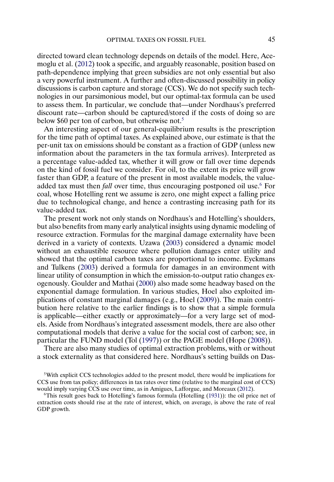<span id="page-5-0"></span>directed toward clean technology depends on details of the model. Here, Acemoglu et al. [\(2012\)](#page-45-0) took a specific, and arguably reasonable, position based on path-dependence implying that green subsidies are not only essential but also a very powerful instrument. A further and often-discussed possibility in policy discussions is carbon capture and storage (CCS). We do not specify such technologies in our parsimonious model, but our optimal-tax formula can be used to assess them. In particular, we conclude that—under Nordhaus's preferred discount rate—carbon should be captured/stored if the costs of doing so are below \$60 per ton of carbon, but otherwise not.<sup>5</sup>

An interesting aspect of our general-equilibrium results is the prescription for the time path of optimal taxes. As explained above, our estimate is that the per-unit tax on emissions should be constant as a fraction of GDP (unless new information about the parameters in the tax formula arrives). Interpreted as a percentage value-added tax, whether it will grow or fall over time depends on the kind of fossil fuel we consider. For oil, to the extent its price will grow faster than GDP, a feature of the present in most available models, the valueadded tax must then *fall* over time, thus encouraging postponed oil use.<sup>6</sup> For coal, whose Hotelling rent we assume is zero, one might expect a falling price due to technological change, and hence a contrasting increasing path for its value-added tax.

The present work not only stands on Nordhaus's and Hotelling's shoulders, but also benefits from many early analytical insights using dynamic modeling of resource extraction. Formulas for the marginal damage externality have been derived in a variety of contexts. Uzawa [\(2003\)](#page-47-0) considered a dynamic model without an exhaustible resource where pollution damages enter utility and showed that the optimal carbon taxes are proportional to income. Eyckmans and Tulkens [\(2003\)](#page-45-0) derived a formula for damages in an environment with linear utility of consumption in which the emission-to-output ratio changes exogenously. Goulder and Mathai [\(2000\)](#page-46-0) also made some headway based on the exponential damage formulation. In various studies, Hoel also exploited implications of constant marginal damages (e.g., Hoel [\(2009\)](#page-46-0)). The main contribution here relative to the earlier findings is to show that a simple formula is applicable—either exactly or approximately—for a very large set of models. Aside from Nordhaus's integrated assessment models, there are also other computational models that derive a value for the social cost of carbon; see, in particular the FUND model (Tol [\(1997\)](#page-47-0)) or the PAGE model (Hope [\(2008\)](#page-46-0)).

There are also many studies of optimal extraction problems, with or without a stock externality as that considered here. Nordhaus's setting builds on Das-

<sup>5</sup>With explicit CCS technologies added to the present model, there would be implications for CCS use from tax policy; differences in tax rates over time (relative to the marginal cost of CCS) would imply varying CCS use over time, as in Amigues, Lafforgue, and Moreaux [\(2012\)](#page-45-0).

<sup>&</sup>lt;sup>6</sup>This result goes back to Hotelling's famous formula (Hotelling [\(1931\)](#page-46-0)): the oil price net of extraction costs should rise at the rate of interest, which, on average, is above the rate of real GDP growth.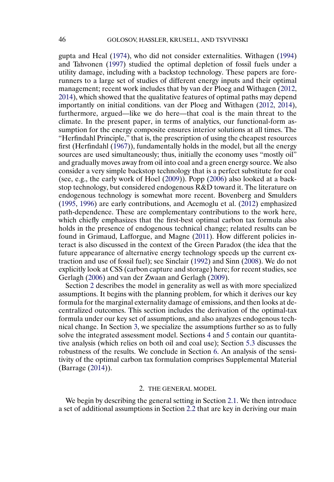gupta and Heal [\(1974\)](#page-45-0), who did not consider externalities. Withagen [\(1994\)](#page-48-0) and Tahvonen [\(1997\)](#page-47-0) studied the optimal depletion of fossil fuels under a utility damage, including with a backstop technology. These papers are forerunners to a large set of studies of different energy inputs and their optimal management; recent work includes that by van der Ploeg and Withagen [\(2012,](#page-47-0) [2014\)](#page-47-0), which showed that the qualitative features of optimal paths may depend importantly on initial conditions. van der Ploeg and Withagen [\(2012,](#page-47-0) [2014\)](#page-47-0), furthermore, argued—like we do here—that coal is the main threat to the climate. In the present paper, in terms of analytics, our functional-form assumption for the energy composite ensures interior solutions at all times. The "Herfindahl Principle," that is, the prescription of using the cheapest resources first (Herfindahl [\(1967\)](#page-46-0)), fundamentally holds in the model, but all the energy sources are used simultaneously; thus, initially the economy uses "mostly oil" and gradually moves away from oil into coal and a green energy source. We also consider a very simple backstop technology that is a perfect substitute for coal (see, e.g., the early work of Hoel [\(2009\)](#page-46-0)). Popp [\(2006\)](#page-47-0) also looked at a backstop technology, but considered endogenous R&D toward it. The literature on endogenous technology is somewhat more recent. Bovenberg and Smulders [\(1995,](#page-45-0) [1996\)](#page-45-0) are early contributions, and Acemoglu et al. [\(2012\)](#page-45-0) emphasized path-dependence. These are complementary contributions to the work here, which chiefly emphasizes that the first-best optimal carbon tax formula also holds in the presence of endogenous technical change; related results can be found in Grimaud, Lafforgue, and Magne [\(2011\)](#page-46-0). How different policies interact is also discussed in the context of the Green Paradox (the idea that the future appearance of alternative energy technology speeds up the current extraction and use of fossil fuel); see Sinclair [\(1992\)](#page-47-0) and Sinn [\(2008\)](#page-47-0). We do not explicitly look at CSS (carbon capture and storage) here; for recent studies, see Gerlagh [\(2006\)](#page-46-0) and van der Zwaan and Gerlagh [\(2009\)](#page-47-0).

Section 2 describes the model in generality as well as with more specialized assumptions. It begins with the planning problem, for which it derives our key formula for the marginal externality damage of emissions, and then looks at decentralized outcomes. This section includes the derivation of the optimal-tax formula under our key set of assumptions, and also analyzes endogenous technical change. In Section [3,](#page-19-0) we specialize the assumptions further so as to fully solve the integrated assessment model. Sections [4](#page-22-0) and [5](#page-30-0) contain our quantitative analysis (which relies on both oil and coal use); Section [5.3](#page-35-0) discusses the robustness of the results. We conclude in Section [6.](#page-42-0) An analysis of the sensitivity of the optimal carbon tax formulation comprises Supplemental Material (Barrage [\(2014\)](#page-45-0)).

#### 2. THE GENERAL MODEL

We begin by describing the general setting in Section [2.1.](#page-7-0) We then introduce a set of additional assumptions in Section [2.2](#page-10-0) that are key in deriving our main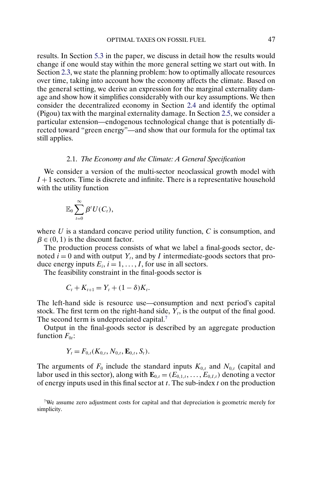<span id="page-7-0"></span>results. In Section [5.3](#page-35-0) in the paper, we discuss in detail how the results would change if one would stay within the more general setting we start out with. In Section [2.3,](#page-12-0) we state the planning problem: how to optimally allocate resources over time, taking into account how the economy affects the climate. Based on the general setting, we derive an expression for the marginal externality damage and show how it simplifies considerably with our key assumptions. We then consider the decentralized economy in Section [2.4](#page-14-0) and identify the optimal (Pigou) tax with the marginal externality damage. In Section [2.5,](#page-17-0) we consider a particular extension—endogenous technological change that is potentially directed toward "green energy"—and show that our formula for the optimal tax still applies.

#### 2.1. *The Economy and the Climate: A General Specification*

We consider a version of the multi-sector neoclassical growth model with  $I + 1$  sectors. Time is discrete and infinite. There is a representative household with the utility function

$$
\mathbb{E}_0\sum_{t=0}^\infty \beta^t U(C_t),
$$

where  $U$  is a standard concave period utility function,  $C$  is consumption, and  $\beta \in (0, 1)$  is the discount factor.

The production process consists of what we label a final-goods sector, denoted  $i = 0$  and with output  $Y_t$ , and by I intermediate-goods sectors that produce energy inputs  $E_i$ ,  $i = 1, \ldots, I$ , for use in all sectors.

The feasibility constraint in the final-goods sector is

$$
C_t + K_{t+1} = Y_t + (1 - \delta)K_t.
$$

The left-hand side is resource use—consumption and next period's capital stock. The first term on the right-hand side,  $Y_t$ , is the output of the final good. The second term is undepreciated capital.<sup>7</sup>

Output in the final-goods sector is described by an aggregate production function  $F_{0t}$ :

$$
Y_t = F_{0,t}(K_{0,t}, N_{0,t}, \mathbf{E}_{0,t}, S_t).
$$

The arguments of  $F_0$  include the standard inputs  $K_{0,t}$  and  $N_{0,t}$  (capital and labor used in this sector), along with  $\mathbf{E}_{0,t} = (E_{0,1,t}, \dots, E_{0,t,t})$  denoting a vector of energy inputs used in this final sector at  $t$ . The sub-index  $t$  on the production

7We assume zero adjustment costs for capital and that depreciation is geometric merely for simplicity.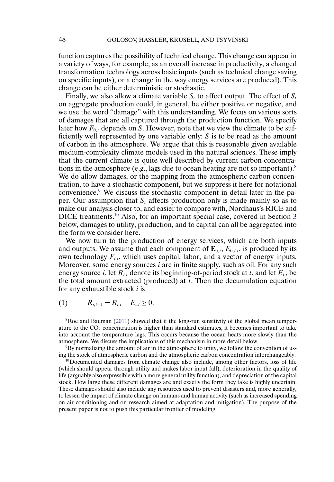<span id="page-8-0"></span>function captures the possibility of technical change. This change can appear in a variety of ways, for example, as an overall increase in productivity, a changed transformation technology across basic inputs (such as technical change saving on specific inputs), or a change in the way energy services are produced). This change can be either deterministic or stochastic.

Finally, we also allow a climate variable  $S_t$  to affect output. The effect of  $S_t$ on aggregate production could, in general, be either positive or negative, and we use the word "damage" with this understanding. We focus on various sorts of damages that are all captured through the production function. We specify later how  $F_{0,t}$  depends on S. However, note that we view the climate to be sufficiently well represented by one variable only: S is to be read as the amount of carbon in the atmosphere. We argue that this is reasonable given available medium-complexity climate models used in the natural sciences. These imply that the current climate is quite well described by current carbon concentrations in the atmosphere (e.g., lags due to ocean heating are not so important).8 We do allow damages, or the mapping from the atmospheric carbon concentration, to have a stochastic component, but we suppress it here for notational convenience.9 We discuss the stochastic component in detail later in the paper. Our assumption that  $S_t$  affects production only is made mainly so as to make our analysis closer to, and easier to compare with, Nordhaus's RICE and DICE treatments.10 Also, for an important special case, covered in Section [3](#page-19-0) below, damages to utility, production, and to capital can all be aggregated into the form we consider here.

We now turn to the production of energy services, which are both inputs and outputs. We assume that each component of  $\mathbf{E}_{0,t}$ ,  $E_{0,i,t}$ , is produced by its own technology  $F_{i,t}$ , which uses capital, labor, and a vector of energy inputs. Moreover, some energy sources *i* are in finite supply, such as oil. For any such energy source i, let  $R_{i,t}$  denote its beginning-of-period stock at t, and let  $E_{i,t}$  be the total amount extracted (produced) at  $t$ . Then the decumulation equation for any exhaustible stock  $i$  is

(1) 
$$
R_{i,t+1} = R_{i,t} - E_{i,t} \geq 0.
$$

 $8Roe$  and Bauman [\(2011\)](#page-47-0) showed that if the long-run sensitivity of the global mean temperature to the  $CO<sub>2</sub>$  concentration is higher than standard estimates, it becomes important to take into account the temperature lags. This occurs because the ocean heats more slowly than the atmosphere. We discuss the implications of this mechanism in more detail below.

9By normalizing the amount of air in the atmosphere to unity, we follow the convention of using the stock of atmospheric carbon and the atmospheric carbon concentration interchangeably.

 $10$ Documented damages from climate change also include, among other factors, loss of life (which should appear through utility and makes labor input fall), deterioration in the quality of life (arguably also expressible with a more general utility function), and depreciation of the capital stock. How large these different damages are and exactly the form they take is highly uncertain. These damages should also include any resources used to prevent disasters and, more generally, to lessen the impact of climate change on humans and human activity (such as increased spending on air conditioning and on research aimed at adaptation and mitigation). The purpose of the present paper is not to push this particular frontier of modeling.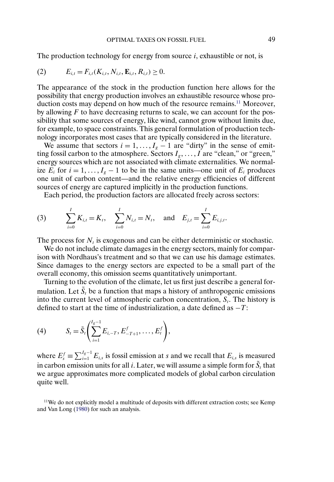<span id="page-9-0"></span>The production technology for energy from source  $i$ , exhaustible or not, is

(2) 
$$
E_{i,t} = F_{i,t}(K_{i,t}, N_{i,t}, \mathbf{E}_{i,t}, R_{i,t}) \geq 0.
$$

The appearance of the stock in the production function here allows for the possibility that energy production involves an exhaustible resource whose production costs may depend on how much of the resource remains.<sup>11</sup> Moreover, by allowing  $F$  to have decreasing returns to scale, we can account for the possibility that some sources of energy, like wind, cannot grow without limits due, for example, to space constraints. This general formulation of production technology incorporates most cases that are typically considered in the literature.

We assume that sectors  $i = 1, \ldots, I_g - 1$  are "dirty" in the sense of emitting fossil carbon to the atmosphere. Sectors  $I_g, \ldots, I$  are "clean," or "green," energy sources which are not associated with climate externalities. We normalize  $E_i$  for  $i = 1, ..., I_g - 1$  to be in the same units—one unit of  $E_i$  produces one unit of carbon content—and the relative energy efficiencies of different sources of energy are captured implicitly in the production functions.

Each period, the production factors are allocated freely across sectors:

(3) 
$$
\sum_{i=0}^{I} K_{i,t} = K_t, \quad \sum_{i=0}^{I} N_{i,t} = N_t, \quad \text{and} \quad E_{j,t} = \sum_{i=0}^{I} E_{i,j,t}.
$$

The process for  $N_t$  is exogenous and can be either deterministic or stochastic.

We do not include climate damages in the energy sectors, mainly for comparison with Nordhaus's treatment and so that we can use his damage estimates. Since damages to the energy sectors are expected to be a small part of the overall economy, this omission seems quantitatively unimportant.

Turning to the evolution of the climate, let us first just describe a general formulation. Let  $\tilde{S}_t$  be a function that maps a history of anthropogenic emissions into the current level of atmospheric carbon concentration,  $S_t$ . The history is defined to start at the time of industrialization, a date defined as  $-T$ :

(4) 
$$
S_t = \tilde{S}_t \left( \sum_{i=1}^{I_g - 1} E_{i, -T}, E_{-T+1}^f, \ldots, E_t^f \right),
$$

where  $E_s^f \equiv \sum_{i=1}^{I_s-1} E_{i,s}$  is fossil emission at s and we recall that  $E_{i,s}$  is measured in carbon emission units for all *i*. Later, we will assume a simple form for  $\tilde{S}_t$  that we argue approximates more complicated models of global carbon circulation quite well.

 $11$ We do not explicitly model a multitude of deposits with different extraction costs; see Kemp and Van Long [\(1980\)](#page-46-0) for such an analysis.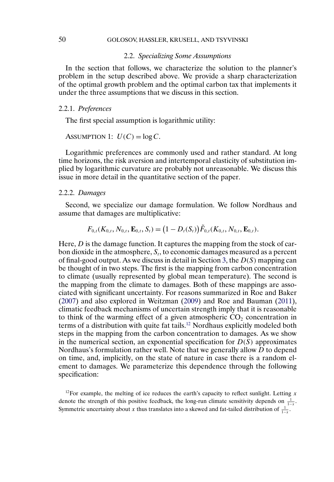# <span id="page-10-0"></span>50 GOLOSOV, HASSLER, KRUSELL, AND TSYVINSKI

# 2.2. *Specializing Some Assumptions*

In the section that follows, we characterize the solution to the planner's problem in the setup described above. We provide a sharp characterization of the optimal growth problem and the optimal carbon tax that implements it under the three assumptions that we discuss in this section.

#### 2.2.1. *Preferences*

The first special assumption is logarithmic utility:

ASSUMPTION 1:  $U(C) = \log C$ .

Logarithmic preferences are commonly used and rather standard. At long time horizons, the risk aversion and intertemporal elasticity of substitution implied by logarithmic curvature are probably not unreasonable. We discuss this issue in more detail in the quantitative section of the paper.

#### 2.2.2. *Damages*

Second, we specialize our damage formulation. We follow Nordhaus and assume that damages are multiplicative:

$$
F_{0,t}(K_{0,t}, N_{0,t}, \mathbf{E}_{0,t}, S_t) = (1 - D_t(S_t)) \tilde{F}_{0,t}(K_{0,t}, N_{0,t}, \mathbf{E}_{0,t}).
$$

Here,  $D$  is the damage function. It captures the mapping from the stock of carbon dioxide in the atmosphere,  $S_t$ , to economic damages measured as a percent of final-good output. As we discuss in detail in Section [3,](#page-19-0) the  $D(S)$  mapping can be thought of in two steps. The first is the mapping from carbon concentration to climate (usually represented by global mean temperature). The second is the mapping from the climate to damages. Both of these mappings are associated with significant uncertainty. For reasons summarized in Roe and Baker [\(2007\)](#page-47-0) and also explored in Weitzman [\(2009\)](#page-47-0) and Roe and Bauman [\(2011\)](#page-47-0), climatic feedback mechanisms of uncertain strength imply that it is reasonable to think of the warming effect of a given atmospheric  $CO<sub>2</sub>$  concentration in terms of a distribution with quite fat tails.12 Nordhaus explicitly modeled both steps in the mapping from the carbon concentration to damages. As we show in the numerical section, an exponential specification for  $D(S)$  approximates Nordhaus's formulation rather well. Note that we generally allow D to depend on time, and, implicitly, on the state of nature in case there is a random element to damages. We parameterize this dependence through the following specification:

<sup>12</sup>For example, the melting of ice reduces the earth's capacity to reflect sunlight. Letting x denote the strength of this positive feedback, the long-run climate sensitivity depends on  $\frac{1}{1-x}$ . Symmetric uncertainty about x thus translates into a skewed and fat-tailed distribution of  $\frac{1}{1-x}$ .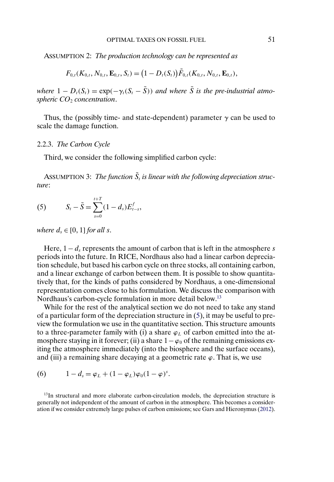<span id="page-11-0"></span>ASSUMPTION 2: *The production technology can be represented as*

$$
F_{0,t}(K_{0,t}, N_{0,t}, \mathbf{E}_{0,t}, S_t) = (1 - D_t(S_t)) \tilde{F}_{0,t}(K_{0,t}, N_{0,t}, \mathbf{E}_{0,t}),
$$

*where*  $1 - D_t(S_t) = \exp(-\gamma_t(S_t - \overline{S}))$  and where  $\overline{S}$  *is the pre-industrial atmospheric CO*<sup>2</sup> *concentration*.

Thus, the (possibly time- and state-dependent) parameter  $\gamma$  can be used to scale the damage function.

#### 2.2.3. *The Carbon Cycle*

Third, we consider the following simplified carbon cycle:

ASSUMPTION 3: The function  $\tilde{S}_t$  is linear with the following depreciation struc*ture*:

(5) 
$$
S_t - \bar{S} = \sum_{s=0}^{t+T} (1 - d_s) E_{t-s}^f,
$$

*where*  $d_s \in [0, 1]$  *for all s.* 

Here,  $1-d_s$  represents the amount of carbon that is left in the atmosphere s periods into the future. In RICE, Nordhaus also had a linear carbon depreciation schedule, but based his carbon cycle on three stocks, all containing carbon, and a linear exchange of carbon between them. It is possible to show quantitatively that, for the kinds of paths considered by Nordhaus, a one-dimensional representation comes close to his formulation. We discuss the comparison with Nordhaus's carbon-cycle formulation in more detail below.<sup>13</sup>

While for the rest of the analytical section we do not need to take any stand of a particular form of the depreciation structure in (5), it may be useful to preview the formulation we use in the quantitative section. This structure amounts to a three-parameter family with (i) a share  $\varphi_L$  of carbon emitted into the atmosphere staying in it forever; (ii) a share  $1-\varphi_0$  of the remaining emissions exiting the atmosphere immediately (into the biosphere and the surface oceans), and (iii) a remaining share decaying at a geometric rate  $\varphi$ . That is, we use

(6) 
$$
1 - d_s = \varphi_L + (1 - \varphi_L)\varphi_0(1 - \varphi)^s.
$$

<sup>13</sup>In structural and more elaborate carbon-circulation models, the depreciation structure is generally not independent of the amount of carbon in the atmosphere. This becomes a consideration if we consider extremely large pulses of carbon emissions; see Gars and Hieronymus [\(2012\)](#page-45-0).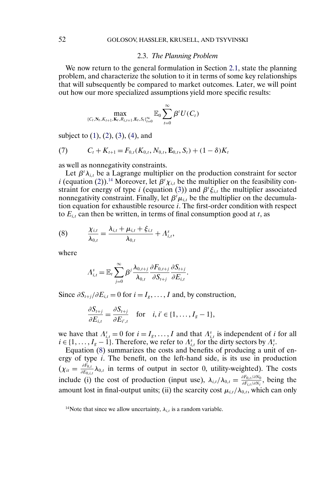# 2.3. *The Planning Problem*

<span id="page-12-0"></span>We now return to the general formulation in Section [2.1,](#page-7-0) state the planning problem, and characterize the solution to it in terms of some key relationships that will subsequently be compared to market outcomes. Later, we will point out how our more specialized assumptions yield more specific results:

$$
\max_{(C_t, N_t, K_{t+1}, K_t, R_{i,t+1}, E_t, S_t)_{t=0}^{\infty}} \mathbb{E}_0 \sum_{t=0}^{\infty} \beta^t U(C_t)
$$

subject to [\(1\)](#page-8-0), [\(2\)](#page-9-0), [\(3\)](#page-9-0), [\(4\)](#page-9-0), and

(7) 
$$
C_t + K_{t+1} = F_{0,t}(K_{0,t}, N_{0,t}, \mathbf{E}_{0,t}, S_t) + (1 - \delta)K_t
$$

as well as nonnegativity constraints.

Let  $\beta^t \lambda_{i,t}$  be a Lagrange multiplier on the production constraint for sector *i* (equation [\(2\)](#page-9-0)).<sup>14</sup> Moreover, let  $\beta^t \chi_{i,t}$  be the multiplier on the feasibility constraint for energy of type *i* (equation [\(3\)](#page-9-0)) and  $\beta^i \xi_{i,t}$  the multiplier associated nonnegativity constraint. Finally, let  $\beta^t \mu_{i,t}$  be the multiplier on the decumulation equation for exhaustible resource i. The first-order condition with respect to  $E_{i,t}$  can then be written, in terms of final consumption good at t, as

(8) 
$$
\frac{\chi_{i,t}}{\lambda_{0,t}} = \frac{\lambda_{i,t} + \mu_{i,t} + \xi_{i,t}}{\lambda_{0,t}} + \Lambda_{i,t}^s,
$$

where

$$
\Lambda_{i,t}^s = \mathbb{E}_t \sum_{j=0}^{\infty} \beta^j \frac{\lambda_{0,t+j}}{\lambda_{0,t}} \frac{\partial F_{0,t+j}}{\partial S_{t+j}} \frac{\partial S_{t+j}}{\partial E_{i,t}}.
$$

Since  $\partial S_{t+j}/\partial E_{i,t} = 0$  for  $i = I_g, \ldots, I$  and, by construction,

$$
\frac{\partial S_{t+j}}{\partial E_{i,t}} = \frac{\partial S_{t+j}}{\partial E_{i',t}} \quad \text{for} \quad i, i' \in \{1, \dots, I_g - 1\},
$$

we have that  $\Lambda_{i,t}^s = 0$  for  $i = I_s, \ldots, I$  and that  $\Lambda_{i,t}^s$  is independent of i for all  $i \in \{1, \ldots, I_g - 1\}$ . Therefore, we refer to  $\Lambda_{i,t}^s$  for the dirty sectors by  $\Lambda_t^s$ .

Equation (8) summarizes the costs and benefits of producing a unit of energy of type i. The benefit, on the left-hand side, is its use in production  $(\chi_{it} = \frac{\partial F_{0,t}}{\partial E_{0,t,t}} \lambda_{0,t}$  in terms of output in sector 0, utility-weighted). The costs include (i) the cost of production (input use),  $\lambda_{i,t}/\lambda_{0,t} = \frac{\partial F_{0,t}/\partial N_0}{\partial F_{i,t}/\partial N_i}$ , being the amount lost in final-output units; (ii) the scarcity cost  $\mu_{i,t}/\lambda_{0,t}$ , which can only

<sup>&</sup>lt;sup>14</sup>Note that since we allow uncertainty,  $\lambda_{i,t}$  is a random variable.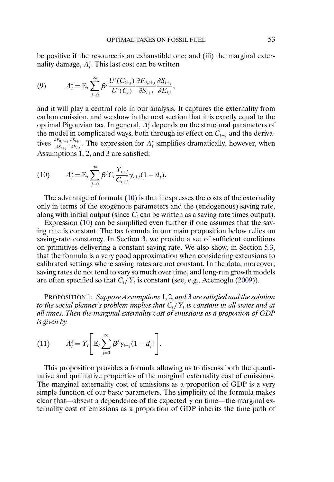<span id="page-13-0"></span>be positive if the resource is an exhaustible one; and (iii) the marginal externality damage,  $\Lambda_t^s$ . This last cost can be written

(9) 
$$
\Lambda_t^s = \mathbb{E}_t \sum_{j=0}^{\infty} \beta^j \frac{U'(C_{t+j})}{U'(C_t)} \frac{\partial F_{0,t+j}}{\partial S_{t+j}} \frac{\partial S_{t+j}}{\partial E_{i,t}},
$$

and it will play a central role in our analysis. It captures the externality from carbon emission, and we show in the next section that it is exactly equal to the optimal Pigouvian tax. In general,  $\Lambda_t^s$  depends on the structural parameters of the model in complicated ways, both through its effect on  $C_{t+j}$  and the derivatives  $\frac{\partial F_{0,t+j}}{\partial S_{t+j}}$  $\frac{\partial S_{t+j}}{\partial E_{i,t}}$ . The expression for  $\Lambda_t^s$  simplifies dramatically, however, when Assumptions [1,](#page-10-0) [2,](#page-11-0) and [3](#page-11-0) are satisfied:

(10) 
$$
\Lambda_t^s = \mathbb{E}_t \sum_{j=0}^{\infty} \beta^j C_t \frac{Y_{t+j}}{C_{t+j}} \gamma_{t+j} (1 - d_j).
$$

The advantage of formula (10) is that it expresses the costs of the externality only in terms of the exogenous parameters and the (endogenous) saving rate, along with initial output (since  $C_t$  can be written as a saving rate times output).

Expression (10) can be simplified even further if one assumes that the saving rate is constant. The tax formula in our main proposition below relies on saving-rate constancy. In Section [3,](#page-19-0) we provide a set of sufficient conditions on primitives delivering a constant saving rate. We also show, in Section [5.3,](#page-35-0) that the formula is a very good approximation when considering extensions to calibrated settings where saving rates are not constant. In the data, moreover, saving rates do not tend to vary so much over time, and long-run growth models are often specified so that  $C_t/Y_t$  is constant (see, e.g., Acemoglu [\(2009\)](#page-45-0)).

PROPOSITION 1: *Suppose Assumptions* [1,](#page-10-0) [2,](#page-11-0) *and* [3](#page-11-0) *are satisfied and the solution to the social planner's problem implies that*  $C_t/Y_t$  *is constant in all states and at all times*. *Then the marginal externality cost of emissions as a proportion of GDP is given by*

(11) 
$$
\Lambda_t^s = Y_t \left[ \mathbb{E}_t \sum_{j=0}^{\infty} \beta^j \gamma_{t+j} (1-d_j) \right].
$$

This proposition provides a formula allowing us to discuss both the quantitative and qualitative properties of the marginal externality cost of emissions. The marginal externality cost of emissions as a proportion of GDP is a very simple function of our basic parameters. The simplicity of the formula makes clear that—absent a dependence of the expected  $\gamma$  on time—the marginal externality cost of emissions as a proportion of GDP inherits the time path of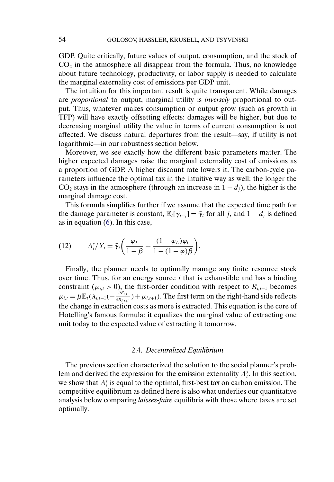<span id="page-14-0"></span>GDP. Quite critically, future values of output, consumption, and the stock of  $CO<sub>2</sub>$  in the atmosphere all disappear from the formula. Thus, no knowledge about future technology, productivity, or labor supply is needed to calculate the marginal externality cost of emissions per GDP unit.

The intuition for this important result is quite transparent. While damages are *proportional* to output, marginal utility is *inversely* proportional to output. Thus, whatever makes consumption or output grow (such as growth in TFP) will have exactly offsetting effects: damages will be higher, but due to decreasing marginal utility the value in terms of current consumption is not affected. We discuss natural departures from the result—say, if utility is not logarithmic—in our robustness section below.

Moreover, we see exactly how the different basic parameters matter. The higher expected damages raise the marginal externality cost of emissions as a proportion of GDP. A higher discount rate lowers it. The carbon-cycle parameters influence the optimal tax in the intuitive way as well: the longer the CO<sub>2</sub> stays in the atmosphere (through an increase in  $1 - d_i$ ), the higher is the marginal damage cost.

This formula simplifies further if we assume that the expected time path for the damage parameter is constant,  $\mathbb{E}_{t}[\gamma_{t+j}]= \bar{\gamma}_{t}$  for all j, and  $1 - d_j$  is defined as in equation [\(6\)](#page-11-0). In this case,

(12) 
$$
A_t^s / Y_t = \bar{\gamma}_t \bigg( \frac{\varphi_L}{1-\beta} + \frac{(1-\varphi_L)\varphi_0}{1-(1-\varphi)\beta} \bigg).
$$

Finally, the planner needs to optimally manage any finite resource stock over time. Thus, for an energy source  $i$  that is exhaustible and has a binding constraint ( $\mu_{i,t} > 0$ ), the first-order condition with respect to  $R_{i,t+1}$  becomes  $\mu_{i,t} = \beta \mathbb{E}_t(\lambda_{i,t+1}(-\frac{\partial F_{i,t}}{\partial R_{i,t+1}}) + \mu_{i,t+1})$ . The first term on the right-hand side reflects the change in extraction costs as more is extracted. This equation is the core of Hotelling's famous formula: it equalizes the marginal value of extracting one unit today to the expected value of extracting it tomorrow.

# 2.4. *Decentralized Equilibrium*

The previous section characterized the solution to the social planner's problem and derived the expression for the emission externality  $\Lambda_t^s$ . In this section, we show that  $\Lambda_t^s$  is equal to the optimal, first-best tax on carbon emission. The competitive equilibrium as defined here is also what underlies our quantitative analysis below comparing *laissez-faire* equilibria with those where taxes are set optimally.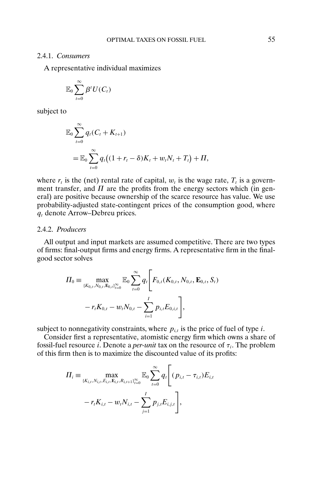#### 2.4.1. *Consumers*

A representative individual maximizes

$$
\mathbb{E}_0 \sum_{t=0}^\infty \beta^t U(C_t)
$$

subject to

$$
\mathbb{E}_0 \sum_{t=0}^{\infty} q_t (C_t + K_{t+1})
$$
  
= 
$$
\mathbb{E}_0 \sum_{t=0}^{\infty} q_t \big( (1 + r_t - \delta) K_t + w_t N_t + T_t \big) + \Pi,
$$

where  $r_t$  is the (net) rental rate of capital,  $w_t$  is the wage rate,  $T_t$  is a government transfer, and  $\Pi$  are the profits from the energy sectors which (in general) are positive because ownership of the scarce resource has value. We use probability-adjusted state-contingent prices of the consumption good, where  $q_t$  denote Arrow–Debreu prices.

# 2.4.2. *Producers*

All output and input markets are assumed competitive. There are two types of firms: final-output firms and energy firms. A representative firm in the finalgood sector solves

$$
\Pi_0 = \max_{\{K_{0,t}, N_{0,t}, \mathbf{E}_{0,t}\}_{t=0}^{\infty}} \mathbb{E}_0 \sum_{t=0}^{\infty} q_t \left[ F_{0,t}(K_{0,t}, N_{0,t}, \mathbf{E}_{0,t}, S_t) - r_t K_{0,t} - w_t N_{0,t} - \sum_{i=1}^I p_{i,t} E_{0,i,t} \right],
$$

subject to nonnegativity constraints, where  $p_{i,t}$  is the price of fuel of type *i*.

Consider first a representative, atomistic energy firm which owns a share of fossil-fuel resource *i*. Denote a *per-unit* tax on the resource of  $\tau_i$ . The problem of this firm then is to maximize the discounted value of its profits:

$$
\Pi_{i} = \max_{\{K_{i,t}, N_{i,t}, E_{i,t}, \mathbf{E}_{i,t}, R_{i,t+1}\}_{t=0}^{\infty}} \mathbb{E}_{0} \sum_{t=0}^{\infty} q_{t} \left[ (p_{i,t} - \tau_{i,t}) E_{i,t} - r_{t} K_{i,t} - w_{t} N_{i,t} - \sum_{j=1}^{I} p_{j,t} E_{i,j,t} \right],
$$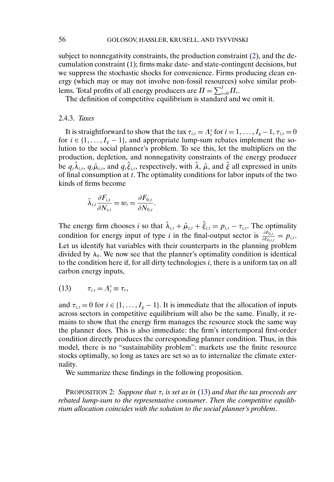<span id="page-16-0"></span>subject to nonnegativity constraints, the production constraint [\(2\)](#page-9-0), and the decumulation constraint [\(1\)](#page-8-0); firms make date- and state-contingent decisions, but we suppress the stochastic shocks for convenience. Firms producing clean energy (which may or may not involve non-fossil resources) solve similar problems. Total profits of all energy producers are  $\Pi = \sum_{i=0}^{I} \Pi_i$ .

The definition of competitive equilibrium is standard and we omit it.

# 2.4.3. *Taxes*

It is straightforward to show that the tax  $\tau_{i,t} = \Lambda_i^s$  for  $i = 1, \ldots, I_g - 1, \tau_{i,t} = 0$ for  $i \in \{1, ..., I_{g} - 1\}$ , and appropriate lump-sum rebates implement the solution to the social planner's problem. To see this, let the multipliers on the production, depletion, and nonnegativity constraints of the energy producer be  $q_t\hat{\lambda}_{i,t}$ ,  $q_t\hat{\mu}_{i,t}$ , and  $q_t\hat{\xi}_{i,t}$ , respectively, with  $\hat{\lambda}$ ,  $\hat{\mu}$ , and  $\hat{\xi}$  all expressed in units of final consumption at  $t$ . The optimality conditions for labor inputs of the two kinds of firms become

$$
\hat{\lambda}_{i,t} \frac{\partial F_{i,t}}{\partial N_{i,t}} = w_t = \frac{\partial F_{0,t}}{\partial N_{0,t}}.
$$

The energy firm chooses i so that  $\hat{\lambda}_{i,t} + \hat{\mu}_{i,t} + \hat{\xi}_{i,t} = p_{i,t} - \tau_{i,t}$ . The optimality condition for energy input of type *i* in the final-output sector is  $\frac{\partial F_{0,t}}{\partial E_{0,t,t}} = p_{i,t}$ . Let us identify hat variables with their counterparts in the planning problem divided by  $\lambda_0$ . We now see that the planner's optimality condition is identical to the condition here if, for all dirty technologies  $i$ , there is a uniform tax on all carbon energy inputs,

$$
(13) \qquad \tau_{i,t} = \Lambda_t^s \equiv \tau_t,
$$

and  $\tau_{i,t} = 0$  for  $i \in \{1, \ldots, I_g - 1\}$ . It is immediate that the allocation of inputs across sectors in competitive equilibrium will also be the same. Finally, it remains to show that the energy firm manages the resource stock the same way the planner does. This is also immediate: the firm's intertemporal first-order condition directly produces the corresponding planner condition. Thus, in this model, there is no "sustainability problem": markets use the finite resource stocks optimally, so long as taxes are set so as to internalize the climate externality.

We summarize these findings in the following proposition.

**PROPOSITION 2:** *Suppose that*  $\tau_t$  *is set as in* (13) *and that the tax proceeds are rebated lump-sum to the representative consumer*. *Then the competitive equilibrium allocation coincides with the solution to the social planner's problem*.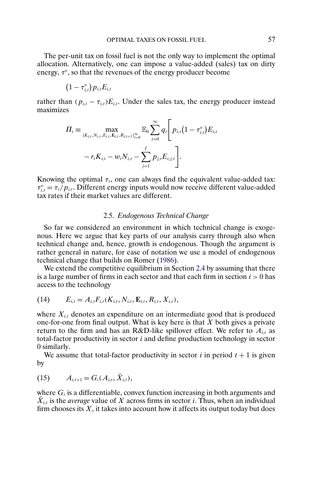<span id="page-17-0"></span>The per-unit tax on fossil fuel is not the only way to implement the optimal allocation. Alternatively, one can impose a value-added (sales) tax on dirty energy,  $\tau^v$ , so that the revenues of the energy producer become

$$
\left(1-\tau_{i,t}^v\right)p_{i,t}E_{i,t}
$$

rather than  $(p_{i,t} - \tau_{i,t})E_{i,t}$ . Under the sales tax, the energy producer instead maximizes

$$
\Pi_{i} \equiv \max_{\{K_{i,t}, N_{i,t}, E_{i,t}, \mathbb{R}_{i,t}, R_{i,t+1}\}_{t=0}^{\infty}} \mathbb{E}_{0} \sum_{t=0}^{\infty} q_{t} \Bigg[ p_{i,t} \big( 1 - \tau_{i,t}^{v} \big) E_{i,t} - r_{t} K_{i,t} - w_{t} N_{i,t} - \sum_{j=1}^{I} p_{j,t} E_{i,j,t} \Bigg].
$$

Knowing the optimal  $\tau_t$ , one can always find the equivalent value-added tax:  $\tau_{i,t}^v = \tau_t/p_{i,t}$ . Different energy inputs would now receive different value-added tax rates if their market values are different.

# 2.5. *Endogenous Technical Change*

So far we considered an environment in which technical change is exogenous. Here we argue that key parts of our analysis carry through also when technical change and, hence, growth is endogenous. Though the argument is rather general in nature, for ease of notation we use a model of endogenous technical change that builds on Romer [\(1986\)](#page-47-0).

We extend the competitive equilibrium in Section [2.4](#page-14-0) by assuming that there is a large number of firms in each sector and that each firm in section  $i > 0$  has access to the technology

(14) 
$$
E_{i,t} = A_{i,t} F_{i,t} (K_{i,t}, N_{i,t}, \mathbf{E}_{i,t}, R_{i,t}, X_{i,t}),
$$

where  $X_{i,t}$  denotes an expenditure on an intermediate good that is produced one-for-one from final output. What is key here is that  $X$  both gives a private return to the firm and has an R&D-like spillover effect. We refer to  $A_{i,t}$  as total-factor productivity in sector  $i$  and define production technology in sector 0 similarly.

We assume that total-factor productivity in sector i in period  $t + 1$  is given by

(15) 
$$
A_{i,t+1} = G_i(A_{i,t}, \bar{X}_{i,t}),
$$

where  $G_i$  is a differentiable, convex function increasing in both arguments and  $X_{i,t}$  is the *average* value of X across firms in sector i. Thus, when an individual firm chooses its  $X$ , it takes into account how it affects its output today but does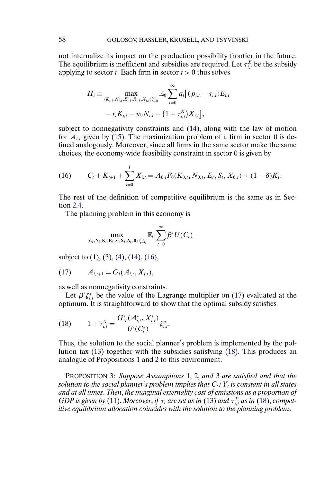<span id="page-18-0"></span>not internalize its impact on the production possibility frontier in the future. The equilibrium is inefficient and subsidies are required. Let  $\tau_{i,t}^X$  be the subsidy applying to sector *i*. Each firm in sector  $i > 0$  thus solves

$$
\Pi_i = \max_{\{K_{i,t}, N_{i,t}, E_{i,t}, R_{i,t}, X_{i,t}\}_{t=0}^{\infty}} \mathbb{E}_0 \sum_{t=0}^{\infty} q_t [(p_{i,t} - \tau_{i,t}) E_{i,t} - r_t K_{i,t} - w_t N_{i,t} - (1 + \tau_{i,t}^X) X_{i,t}],
$$

subject to nonnegativity constraints and [\(14\)](#page-17-0), along with the law of motion for  $A_{i,t}$  given by [\(15\)](#page-17-0). The maximization problem of a firm in sector 0 is defined analogously. Moreover, since all firms in the same sector make the same choices, the economy-wide feasibility constraint in sector 0 is given by

(16) 
$$
C_t + K_{t+1} + \sum_{i=0}^I X_{i,t} = A_{0,t} F_0(K_{0,t}, N_{0,t}, E_t, S_t, X_{0,t}) + (1 - \delta) K_t.
$$

The rest of the definition of competitive equilibrium is the same as in Section [2.4.](#page-14-0)

The planning problem in this economy is

$$
\max_{(C_t, \mathbf{N}_t, \mathbf{K}_t, \mathbf{E}_t, S_t, \mathbf{X}_t, \mathbf{A}_t, \mathbf{R}_t)_{t=0}^{\infty}} \mathbb{E}_0 \sum_{t=0}^{\infty} \beta^t U(C_t)
$$

subject to [\(1\)](#page-8-0), [\(3\)](#page-9-0), [\(4\)](#page-9-0), [\(14\)](#page-17-0), (16),

$$
(17) \t A_{i,t+1} = G_i(A_{i,t}, X_{i,t}),
$$

as well as nonnegativity constraints.

Let  $\beta^t \zeta_{i,t}^*$  be the value of the Lagrange multiplier on (17) evaluated at the optimum. It is straightforward to show that the optimal subsidy satisfies

(18) 
$$
1 + \tau_{i,t}^X = \frac{G_X^*(A_{i,t}^*, X_{i,t}^*)}{U'(C_t^*)} \zeta_{i,t}^*.
$$

Thus, the solution to the social planner's problem is implemented by the pollution tax [\(13\)](#page-16-0) together with the subsidies satisfying (18). This produces an analogue of Propositions [1](#page-13-0) and [2](#page-16-0) to this environment.

PROPOSITION 3: *Suppose Assumptions* [1,](#page-10-0) [2,](#page-11-0) *and* [3](#page-11-0) *are satisfied and that the solution to the social planner's problem implies that*  $C_t/Y_t$  *is constant in all states and at all times*. *Then*, *the marginal externality cost of emissions as a proportion of*  $GDP$  is given by [\(11\)](#page-13-0). Moreover, if  $\tau_t$  are set as in [\(13\)](#page-16-0) and  $\tau_{i,t}^X$  as in (18), compet*itive equilibrium allocation coincides with the solution to the planning problem*.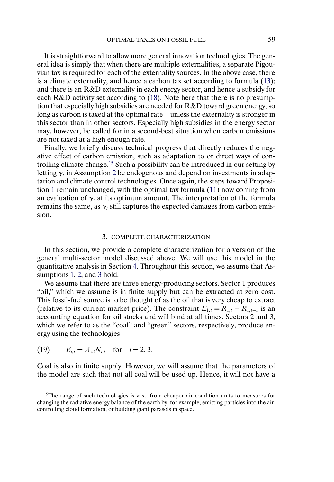<span id="page-19-0"></span>It is straightforward to allow more general innovation technologies. The general idea is simply that when there are multiple externalities, a separate Pigouvian tax is required for each of the externality sources. In the above case, there is a climate externality, and hence a carbon tax set according to formula [\(13\)](#page-16-0); and there is an R&D externality in each energy sector, and hence a subsidy for each R&D activity set according to [\(18\)](#page-18-0). Note here that there is no presumption that especially high subsidies are needed for R&D toward green energy, so long as carbon is taxed at the optimal rate—unless the externality is stronger in this sector than in other sectors. Especially high subsidies in the energy sector may, however, be called for in a second-best situation when carbon emissions are not taxed at a high enough rate.

Finally, we briefly discuss technical progress that directly reduces the negative effect of carbon emission, such as adaptation to or direct ways of controlling climate change.15 Such a possibility can be introduced in our setting by letting  $\gamma_t$  in Assumption [2](#page-11-0) be endogenous and depend on investments in adaptation and climate control technologies. Once again, the steps toward Proposition [1](#page-13-0) remain unchanged, with the optimal tax formula [\(11\)](#page-13-0) now coming from an evaluation of  $\gamma_t$  at its optimum amount. The interpretation of the formula remains the same, as  $\gamma_t$  still captures the expected damages from carbon emission.

#### 3. COMPLETE CHARACTERIZATION

In this section, we provide a complete characterization for a version of the general multi-sector model discussed above. We will use this model in the quantitative analysis in Section [4.](#page-22-0) Throughout this section, we assume that Assumptions [1,](#page-10-0) [2,](#page-11-0) and [3](#page-11-0) hold.

We assume that there are three energy-producing sectors. Sector 1 produces "oil," which we assume is in finite supply but can be extracted at zero cost. This fossil-fuel source is to be thought of as the oil that is very cheap to extract (relative to its current market price). The constraint  $E_{1,t} = R_{1,t} - R_{1,t+1}$  is an accounting equation for oil stocks and will bind at all times. Sectors 2 and 3, which we refer to as the "coal" and "green" sectors, respectively, produce energy using the technologies

(19) 
$$
E_{i,t} = A_{i,t} N_{i,t}
$$
 for  $i = 2, 3$ .

Coal is also in finite supply. However, we will assume that the parameters of the model are such that not all coal will be used up. Hence, it will not have a

<sup>&</sup>lt;sup>15</sup>The range of such technologies is vast, from cheaper air condition units to measures for changing the radiative energy balance of the earth by, for example, emitting particles into the air, controlling cloud formation, or building giant parasols in space.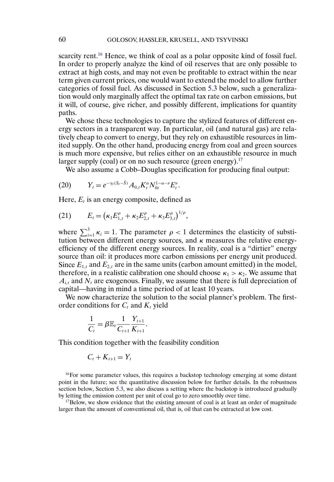scarcity rent.<sup>16</sup> Hence, we think of coal as a polar opposite kind of fossil fuel. In order to properly analyze the kind of oil reserves that are only possible to extract at high costs, and may not even be profitable to extract within the near term given current prices, one would want to extend the model to allow further categories of fossil fuel. As discussed in Section [5.3](#page-35-0) below, such a generalization would only marginally affect the optimal tax rate on carbon emissions, but it will, of course, give richer, and possibly different, implications for quantity paths.

We chose these technologies to capture the stylized features of different energy sectors in a transparent way. In particular, oil (and natural gas) are relatively cheap to convert to energy, but they rely on exhaustible resources in limited supply. On the other hand, producing energy from coal and green sources is much more expensive, but relies either on an exhaustible resource in much larger supply (coal) or on no such resource (green energy).<sup>17</sup>

We also assume a Cobb–Douglas specification for producing final output:

(20) 
$$
Y_t = e^{-\gamma_t (S_t - \bar{S})} A_{0,t} K_t^{\alpha} N_{0t}^{1-\alpha-\nu} E_t^{\nu}.
$$

Here,  $E_t$  is an energy composite, defined as

(21) 
$$
E_t = (\kappa_1 E_{1,t}^{\rho} + \kappa_2 E_{2,t}^{\rho} + \kappa_3 E_{3,t}^{\rho})^{1/\rho},
$$

where  $\sum_{i=1}^{3} \kappa_i = 1$ . The parameter  $\rho < 1$  determines the elasticity of substitution between different energy sources, and  $\kappa$  measures the relative energyefficiency of the different energy sources. In reality, coal is a "dirtier" energy source than oil: it produces more carbon emissions per energy unit produced. Since  $E_{1,t}$  and  $E_{2,t}$  are in the same units (carbon amount emitted) in the model, therefore, in a realistic calibration one should choose  $\kappa_1 > \kappa_2$ . We assume that  $A_{i,t}$  and  $N_t$  are exogenous. Finally, we assume that there is full depreciation of capital—having in mind a time period of at least 10 years.

We now characterize the solution to the social planner's problem. The firstorder conditions for  $C_t$  and  $K_t$  yield

$$
\frac{1}{C_t} = \beta \mathbb{E}_t \frac{1}{C_{t+1}} \frac{Y_{t+1}}{K_{t+1}}.
$$

This condition together with the feasibility condition

$$
C_t+K_{t+1}=Y_t
$$

 $16$  For some parameter values, this requires a backstop technology emerging at some distant point in the future; see the quantitative discussion below for further details. In the robustness section below, Section [5.3,](#page-35-0) we also discuss a setting where the backstop is introduced gradually by letting the emission content per unit of coal go to zero smoothly over time.

<sup>17</sup>Below, we show evidence that the existing amount of coal is at least an order of magnitude larger than the amount of conventional oil, that is, oil that can be extracted at low cost.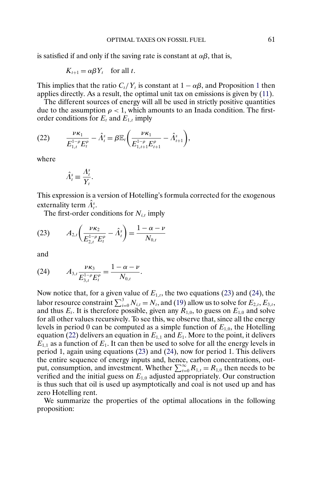<span id="page-21-0"></span>is satisfied if and only if the saving rate is constant at  $\alpha\beta$ , that is,

$$
K_{t+1} = \alpha \beta Y_t \quad \text{for all } t.
$$

This implies that the ratio  $C_t/Y_t$  is constant at  $1 - \alpha\beta$  $1 - \alpha\beta$ , and Proposition 1 then applies directly. As a result, the optimal unit tax on emissions is given by [\(11\)](#page-13-0).

The different sources of energy will all be used in strictly positive quantities due to the assumption  $\rho < 1$ , which amounts to an Inada condition. The firstorder conditions for  $E_t$  and  $E_{1,t}$  imply

(22) 
$$
\frac{\nu \kappa_1}{E_{1,t}^{1-\rho} E_t^{\rho}} - \hat{\Lambda}_t^s = \beta \mathbb{E}_t \bigg( \frac{\nu \kappa_1}{E_{1,t+1}^{1-\rho} E_{t+1}^{\rho}} - \hat{\Lambda}_{t+1}^s \bigg),
$$

where

$$
\hat{\Lambda}^s_t \equiv \frac{\Lambda^s_t}{Y_t}
$$

.

This expression is a version of Hotelling's formula corrected for the exogenous externality term  $\hat{\Lambda}_{i}^{s}$ .

The first-order conditions for  $N_{i,t}$  imply

(23) 
$$
A_{2,t}\left(\frac{\nu\kappa_2}{E_{2,t}^{1-\rho}E_t^{\rho}}-\hat{A}_t^s\right)=\frac{1-\alpha-\nu}{N_{0,t}}
$$

and

(24) 
$$
A_{3,t} \frac{\nu \kappa_3}{E_{3,t}^{1-\rho} E_t^{\rho}} = \frac{1-\alpha-\nu}{N_{0,t}}.
$$

Now notice that, for a given value of  $E_{1,t}$ , the two equations (23) and (24), the labor resource constraint  $\sum_{i=0}^{3} N_{i,t} = N_t$ , and [\(19\)](#page-19-0) allow us to solve for  $E_{2,t}$ ,  $E_{3,t}$ , and thus  $E_t$ . It is therefore possible, given any  $R_{1,0}$ , to guess on  $E_{1,0}$  and solve for all other values recursively. To see this, we observe that, since all the energy levels in period 0 can be computed as a simple function of  $E_{1,0}$ , the Hotelling equation (22) delivers an equation in  $E_{1,1}$  and  $E_1$ . More to the point, it delivers  $E_{1,1}$  as a function of  $E_1$ . It can then be used to solve for all the energy levels in period 1, again using equations (23) and (24), now for period 1. This delivers the entire sequence of energy inputs and, hence, carbon concentrations, output, consumption, and investment. Whether  $\sum_{t=0}^{\infty} R_{1,t} = R_{1,0}$  then needs to be verified and the initial guess on  $E_{1,0}$  adjusted appropriately. Our construction is thus such that oil is used up asymptotically and coal is not used up and has zero Hotelling rent.

We summarize the properties of the optimal allocations in the following proposition: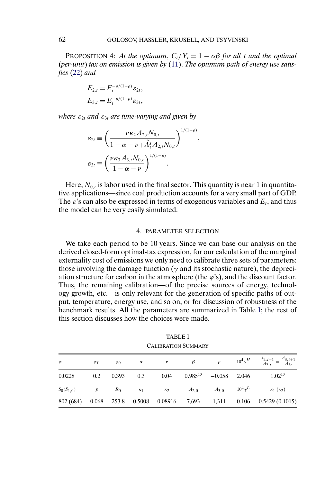<span id="page-22-0"></span>PROPOSITION 4: *At the optimum,*  $C_t/Y_t = 1 - \alpha\beta$  for all t and the optimal (*per-unit*) *tax on emission is given by* [\(11\)](#page-13-0). *The optimum path of energy use satisfies* [\(22\)](#page-21-0) *and*

$$
E_{2,t} = E_t^{-\rho/(1-\rho)} \varepsilon_{2t},
$$
  
\n
$$
E_{3,t} = E_t^{-\rho/(1-\rho)} \varepsilon_{3t},
$$

*where*  $\varepsilon_{2t}$  *and*  $\varepsilon_{3t}$  *are time-varying and given by* 

$$
\varepsilon_{2t} \equiv \left(\frac{\nu \kappa_2 A_{2,t} N_{0,t}}{1 - \alpha - \nu + \hat{\Lambda}_t^s A_{2,t} N_{0,t}}\right)^{1/(1-\rho)},
$$
  

$$
\varepsilon_{3t} \equiv \left(\frac{\nu \kappa_3 A_{3,t} N_{0,t}}{1 - \alpha - \nu}\right)^{1/(1-\rho)}.
$$

Here,  $N_{0,t}$  is labor used in the final sector. This quantity is near 1 in quantitative applications—since coal production accounts for a very small part of GDP. The  $\varepsilon$ 's can also be expressed in terms of exogenous variables and  $E_t$ , and thus the model can be very easily simulated.

#### 4. PARAMETER SELECTION

We take each period to be 10 years. Since we can base our analysis on the derived closed-form optimal-tax expression, for our calculation of the marginal externality cost of emissions we only need to calibrate three sets of parameters: those involving the damage function ( $\gamma$  and its stochastic nature), the depreciation structure for carbon in the atmosphere (the  $\varphi$ 's), and the discount factor. Thus, the remaining calibration—of the precise sources of energy, technology growth, etc.—is only relevant for the generation of specific paths of output, temperature, energy use, and so on, or for discussion of robustness of the benchmark results. All the parameters are summarized in Table I; the rest of this section discusses how the choices were made.

| φ              | $\varphi_L$      | $\varphi_0$ | $\alpha$   | $\nu$      | β            | $\rho$         |                 | $10^4 \gamma^H$ $\frac{A_{2,t+1}}{A_{2,t}} = \frac{A_{3,t+1}}{A_{3,t}}$ |
|----------------|------------------|-------------|------------|------------|--------------|----------------|-----------------|-------------------------------------------------------------------------|
| 0.0228         | 0.2              | 0.393       | 0.3        | 0.04       | $0.985^{10}$ | $-0.058$ 2.046 |                 | $1.02^{10}$                                                             |
| $S_0(S_{1,0})$ | $\boldsymbol{p}$ | $R_0$       | $\kappa_1$ | $\kappa_2$ | $A_{2,0}$    | $A_{3,0}$      | $10^4 \gamma^L$ | $\kappa_1(\kappa_2)$                                                    |
| 802 (684)      | 0.068            | 253.8       | 0.5008     | 0.08916    | 7,693        | 1,311          |                 | $0.106$ $0.5429$ $(0.1015)$                                             |

TABLE I CALIBRATION SUMMARY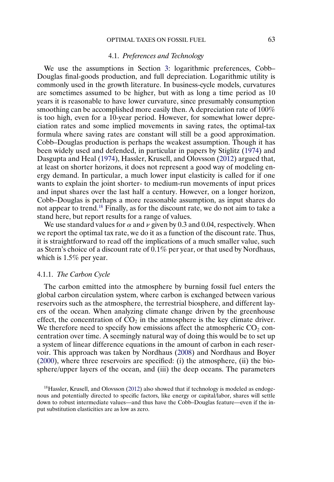# OPTIMAL TAXES ON FOSSIL FUEL 63

#### 4.1. *Preferences and Technology*

<span id="page-23-0"></span>We use the assumptions in Section [3:](#page-19-0) logarithmic preferences, Cobb– Douglas final-goods production, and full depreciation. Logarithmic utility is commonly used in the growth literature. In business-cycle models, curvatures are sometimes assumed to be higher, but with as long a time period as 10 years it is reasonable to have lower curvature, since presumably consumption smoothing can be accomplished more easily then. A depreciation rate of 100% is too high, even for a 10-year period. However, for somewhat lower depreciation rates and some implied movements in saving rates, the optimal-tax formula where saving rates are constant will still be a good approximation. Cobb–Douglas production is perhaps the weakest assumption. Though it has been widely used and defended, in particular in papers by Stiglitz [\(1974\)](#page-47-0) and Dasgupta and Heal [\(1974\)](#page-45-0), Hassler, Krusell, and Olovsson [\(2012\)](#page-46-0) argued that, at least on shorter horizons, it does not represent a good way of modeling energy demand. In particular, a much lower input elasticity is called for if one wants to explain the joint shorter- to medium-run movements of input prices and input shares over the last half a century. However, on a longer horizon, Cobb–Douglas is perhaps a more reasonable assumption, as input shares do not appear to trend.18 Finally, as for the discount rate, we do not aim to take a stand here, but report results for a range of values.

We use standard values for  $\alpha$  and  $\nu$  given by 0.3 and 0.04, respectively. When we report the optimal tax rate, we do it as a function of the discount rate. Thus, it is straightforward to read off the implications of a much smaller value, such as Stern's choice of a discount rate of  $0.1\%$  per year, or that used by Nordhaus, which is 1.5% per year.

#### 4.1.1. *The Carbon Cycle*

The carbon emitted into the atmosphere by burning fossil fuel enters the global carbon circulation system, where carbon is exchanged between various reservoirs such as the atmosphere, the terrestrial biosphere, and different layers of the ocean. When analyzing climate change driven by the greenhouse effect, the concentration of  $CO<sub>2</sub>$  in the atmosphere is the key climate driver. We therefore need to specify how emissions affect the atmospheric  $CO<sub>2</sub>$  concentration over time. A seemingly natural way of doing this would be to set up a system of linear difference equations in the amount of carbon in each reservoir. This approach was taken by Nordhaus [\(2008\)](#page-46-0) and Nordhaus and Boyer [\(2000\)](#page-46-0), where three reservoirs are specified: (i) the atmosphere, (ii) the biosphere/upper layers of the ocean, and (iii) the deep oceans. The parameters

 $^{18}$ Hassler, Krusell, and Olovsson [\(2012\)](#page-46-0) also showed that if technology is modeled as endogenous and potentially directed to specific factors, like energy or capital/labor, shares will settle down to robust intermediate values—and thus have the Cobb–Douglas feature—even if the input substitution elasticities are as low as zero.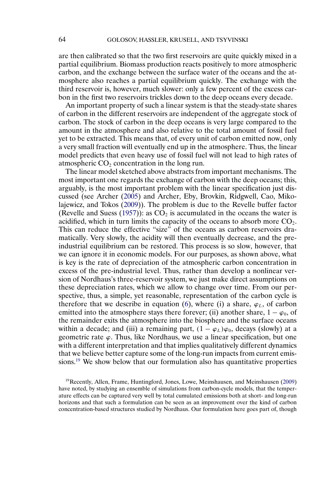<span id="page-24-0"></span>are then calibrated so that the two first reservoirs are quite quickly mixed in a partial equilibrium. Biomass production reacts positively to more atmospheric carbon, and the exchange between the surface water of the oceans and the atmosphere also reaches a partial equilibrium quickly. The exchange with the third reservoir is, however, much slower: only a few percent of the excess carbon in the first two reservoirs trickles down to the deep oceans every decade.

An important property of such a linear system is that the steady-state shares of carbon in the different reservoirs are independent of the aggregate stock of carbon. The stock of carbon in the deep oceans is very large compared to the amount in the atmosphere and also relative to the total amount of fossil fuel yet to be extracted. This means that, of every unit of carbon emitted now, only a very small fraction will eventually end up in the atmosphere. Thus, the linear model predicts that even heavy use of fossil fuel will not lead to high rates of atmospheric  $CO<sub>2</sub>$  concentration in the long run.

The linear model sketched above abstracts from important mechanisms. The most important one regards the exchange of carbon with the deep oceans; this, arguably, is the most important problem with the linear specification just discussed (see Archer [\(2005\)](#page-45-0) and Archer, Eby, Brovkin, Ridgwell, Cao, Mikolajewicz, and Tokos [\(2009\)](#page-45-0)). The problem is due to the Revelle buffer factor (Revelle and Suess [\(1957\)](#page-47-0)): as  $CO<sub>2</sub>$  is accumulated in the oceans the water is acidified, which in turn limits the capacity of the oceans to absorb more  $CO<sub>2</sub>$ . This can reduce the effective "size" of the oceans as carbon reservoirs dramatically. Very slowly, the acidity will then eventually decrease, and the preindustrial equilibrium can be restored. This process is so slow, however, that we can ignore it in economic models. For our purposes, as shown above, what is key is the rate of depreciation of the atmospheric carbon concentration in excess of the pre-industrial level. Thus, rather than develop a nonlinear version of Nordhaus's three-reservoir system, we just make direct assumptions on these depreciation rates, which we allow to change over time. From our perspective, thus, a simple, yet reasonable, representation of the carbon cycle is therefore that we describe in equation [\(6\)](#page-11-0), where (i) a share,  $\varphi_L$ , of carbon emitted into the atmosphere stays there forever; (ii) another share,  $1 - \varphi_0$ , of the remainder exits the atmosphere into the biosphere and the surface oceans within a decade; and (iii) a remaining part,  $(1 - \varphi_L)\varphi_0$ , decays (slowly) at a geometric rate  $\varphi$ . Thus, like Nordhaus, we use a linear specification, but one with a different interpretation and that implies qualitatively different dynamics that we believe better capture some of the long-run impacts from current emissions.<sup>19</sup> We show below that our formulation also has quantitative properties

<sup>19</sup>Recently, Allen, Frame, Huntingford, Jones, Lowe, Meinshausen, and Meinshausen [\(2009\)](#page-45-0) have noted, by studying an ensemble of simulations from carbon-cycle models, that the temperature effects can be captured very well by total cumulated emissions both at short- and long-run horizons and that such a formulation can be seen as an improvement over the kind of carbon concentration-based structures studied by Nordhaus. Our formulation here goes part of, though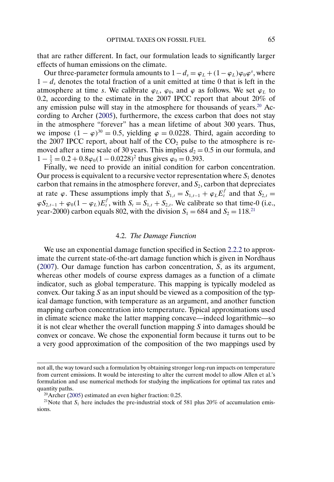that are rather different. In fact, our formulation leads to significantly larger effects of human emissions on the climate.

Our three-parameter formula amounts to  $1-d_s = \varphi_L + (1-\varphi_L)\varphi_0\varphi^s$ , where  $1 - d_s$  denotes the total fraction of a unit emitted at time 0 that is left in the atmosphere at time s. We calibrate  $\varphi_L$ ,  $\varphi_0$ , and  $\varphi$  as follows. We set  $\varphi_L$  to 0.2, according to the estimate in the 2007 IPCC report that about 20% of any emission pulse will stay in the atmosphere for thousands of years.<sup>20</sup> According to Archer [\(2005\)](#page-45-0), furthermore, the excess carbon that does not stay in the atmosphere "forever" has a mean lifetime of about 300 years. Thus, we impose  $(1 - \varphi)^{30} = 0.5$ , yielding  $\varphi = 0.0228$ . Third, again according to the 2007 IPCC report, about half of the  $CO<sub>2</sub>$  pulse to the atmosphere is removed after a time scale of 30 years. This implies  $d_2 = 0.5$  in our formula, and  $1 - \frac{1}{2} = 0.2 + 0.8\varphi_0 (1 - 0.0228)^2$  thus gives  $\varphi_0 = 0.393$ .

Finally, we need to provide an initial condition for carbon concentration. Our process is equivalent to a recursive vector representation where  $S_1$  denotes carbon that remains in the atmosphere forever, and  $S_2$ , carbon that depreciates at rate  $\varphi$ . These assumptions imply that  $S_{1,t} = S_{1,t-1} + \varphi_L E_t^f$  and that  $S_{2,t} =$  $\varphi S_{2,t-1} + \varphi_0 (1 - \varphi_L) E_t^f$ , with  $S_t = S_{1,t} + S_{2,t}$ . We calibrate so that time-0 (i.e., year-2000) carbon equals 802, with the division  $S_1 = 684$  and  $S_2 = 118$ .<sup>21</sup>

#### 4.2. *The Damage Function*

We use an exponential damage function specified in Section [2.2.2](#page-10-0) to approximate the current state-of-the-art damage function which is given in Nordhaus [\(2007\)](#page-46-0). Our damage function has carbon concentration, S, as its argument, whereas other models of course express damages as a function of a climate indicator, such as global temperature. This mapping is typically modeled as convex. Our taking S as an input should be viewed as a composition of the typical damage function, with temperature as an argument, and another function mapping carbon concentration into temperature. Typical approximations used in climate science make the latter mapping concave—indeed logarithmic—so it is not clear whether the overall function mapping  $S$  into damages should be convex or concave. We chose the exponential form because it turns out to be a very good approximation of the composition of the two mappings used by

not all, the way toward such a formulation by obtaining stronger long-run impacts on temperature from current emissions. It would be interesting to alter the current model to allow Allen et al.'s formulation and use numerical methods for studying the implications for optimal tax rates and quantity paths.

 $20$ Archer [\(2005\)](#page-45-0) estimated an even higher fraction: 0.25.

<sup>&</sup>lt;sup>21</sup>Note that  $S_1$  here includes the pre-industrial stock of 581 plus 20% of accumulation emissions.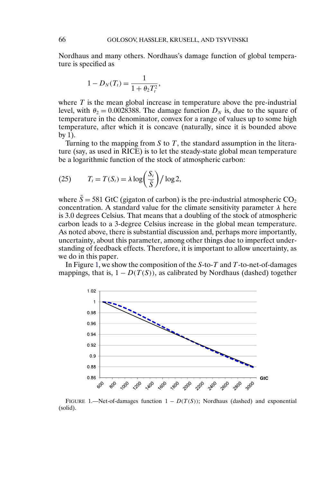<span id="page-26-0"></span>Nordhaus and many others. Nordhaus's damage function of global temperature is specified as

$$
1 - D_N(T_t) = \frac{1}{1 + \theta_2 T_t^2},
$$

where  $T$  is the mean global increase in temperature above the pre-industrial level, with  $\theta_2 = 0.0028388$ . The damage function  $D_N$  is, due to the square of temperature in the denominator, convex for a range of values up to some high temperature, after which it is concave (naturally, since it is bounded above by 1).

Turning to the mapping from  $S$  to  $T$ , the standard assumption in the literature (say, as used in RICE) is to let the steady-state global mean temperature be a logarithmic function of the stock of atmospheric carbon:

(25) 
$$
T_t = T(S_t) = \lambda \log \left( \frac{S_t}{\overline{S}} \right) / \log 2,
$$

where  $\overline{S}$  = 581 GtC (gigaton of carbon) is the pre-industrial atmospheric CO<sub>2</sub> concentration. A standard value for the climate sensitivity parameter  $\lambda$  here is 3.0 degrees Celsius. That means that a doubling of the stock of atmospheric carbon leads to a 3-degree Celsius increase in the global mean temperature. As noted above, there is substantial discussion and, perhaps more importantly, uncertainty, about this parameter, among other things due to imperfect understanding of feedback effects. Therefore, it is important to allow uncertainty, as we do in this paper.

In Figure 1, we show the composition of the  $S$ -to- $T$  and  $T$ -to-net-of-damages mappings, that is,  $1 - D(T(S))$ , as calibrated by Nordhaus (dashed) together



FIGURE 1.—Net-of-damages function  $1 - D(T(S))$ ; Nordhaus (dashed) and exponential (solid).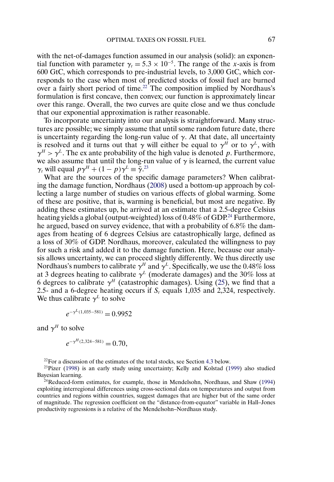<span id="page-27-0"></span>with the net-of-damages function assumed in our analysis (solid): an exponential function with parameter  $\gamma_t = 5.3 \times 10^{-5}$ . The range of the x-axis is from 600 GtC, which corresponds to pre-industrial levels, to 3,000 GtC, which corresponds to the case when most of predicted stocks of fossil fuel are burned over a fairly short period of time.<sup>22</sup> The composition implied by Nordhaus's formulation is first concave, then convex; our function is approximately linear over this range. Overall, the two curves are quite close and we thus conclude that our exponential approximation is rather reasonable.

To incorporate uncertainty into our analysis is straightforward. Many structures are possible; we simply assume that until some random future date, there is uncertainty regarding the long-run value of  $\gamma$ . At that date, all uncertainty is resolved and it turns out that  $\gamma$  will either be equal to  $\gamma^H$  or to  $\gamma^L$ , with  $\gamma^H > \gamma^L$ . The ex ante probability of the high value is denoted p. Furthermore, we also assume that until the long-run value of  $\gamma$  is learned, the current value  $\gamma_t$  will equal  $p\gamma^H + (1 - p)\gamma^L \equiv \bar{\gamma}^{23}$ 

What are the sources of the specific damage parameters? When calibrating the damage function, Nordhaus [\(2008\)](#page-46-0) used a bottom-up approach by collecting a large number of studies on various effects of global warming. Some of these are positive, that is, warming is beneficial, but most are negative. By adding these estimates up, he arrived at an estimate that a 2.5-degree Celsius heating yields a global (output-weighted) loss of  $0.48\%$  of GDP.<sup>24</sup> Furthermore, he argued, based on survey evidence, that with a probability of 6.8% the damages from heating of 6 degrees Celsius are catastrophically large, defined as a loss of 30% of GDP. Nordhaus, moreover, calculated the willingness to pay for such a risk and added it to the damage function. Here, because our analysis allows uncertainty, we can proceed slightly differently. We thus directly use Nordhaus's numbers to calibrate  $\gamma^H$  and  $\gamma^L$ . Specifically, we use the 0.48% loss at 3 degrees heating to calibrate  $\gamma^L$  (moderate damages) and the 30% loss at 6 degrees to calibrate  $\gamma^H$  (catastrophic damages). Using [\(25\)](#page-26-0), we find that a 2.5- and a 6-degree heating occurs if  $S_t$  equals 1,035 and 2,324, respectively. We thus calibrate  $\gamma^L$  to solve

$$
e^{-\gamma^L(1,035-581)} = 0.9952
$$

and  $\gamma^H$  to solve

$$
e^{-\gamma^H(2,324-581)} = 0.70,
$$

 $22$ For a discussion of the estimates of the total stocks, see Section [4.3](#page-28-0) below.

<sup>23</sup>Pizer [\(1998\)](#page-47-0) is an early study using uncertainty; Kelly and Kolstad [\(1999\)](#page-46-0) also studied Bayesian learning.

<sup>24</sup>Reduced-form estimates, for example, those in Mendelsohn, Nordhaus, and Shaw [\(1994\)](#page-46-0) exploiting interregional differences using cross-sectional data on temperatures and output from countries and regions within countries, suggest damages that are higher but of the same order of magnitude. The regression coefficient on the "distance-from-equator" variable in Hall–Jones productivity regressions is a relative of the Mendelsohn–Nordhaus study.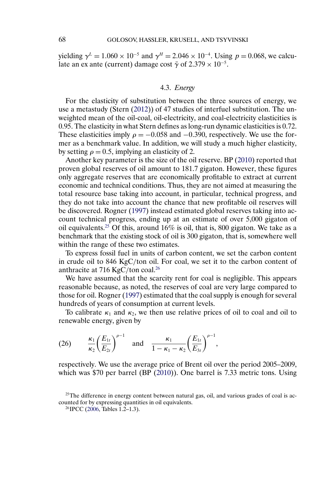<span id="page-28-0"></span>yielding  $\gamma^{L} = 1.060 \times 10^{-5}$  and  $\gamma^{H} = 2.046 \times 10^{-4}$ . Using  $p = 0.068$ , we calculate an ex ante (current) damage cost  $\bar{\gamma}$  of 2.379 × 10<sup>-5</sup>.

#### 4.3. *Energy*

For the elasticity of substitution between the three sources of energy, we use a metastudy (Stern [\(2012\)](#page-47-0)) of 47 studies of interfuel substitution. The unweighted mean of the oil-coal, oil-electricity, and coal-electricity elasticities is 0.95. The elasticity in what Stern defines as long-run dynamic elasticities is 0.72. These elasticities imply  $\rho = -0.058$  and  $-0.390$ , respectively. We use the former as a benchmark value. In addition, we will study a much higher elasticity, by setting  $\rho = 0.5$ , implying an elasticity of 2.

Another key parameter is the size of the oil reserve. BP [\(2010\)](#page-45-0) reported that proven global reserves of oil amount to 181.7 gigaton. However, these figures only aggregate reserves that are economically profitable to extract at current economic and technical conditions. Thus, they are not aimed at measuring the total resource base taking into account, in particular, technical progress, and they do not take into account the chance that new profitable oil reserves will be discovered. Rogner [\(1997\)](#page-47-0) instead estimated global reserves taking into account technical progress, ending up at an estimate of over 5,000 gigaton of oil equivalents.<sup>25</sup> Of this, around 16% is oil, that is, 800 gigaton. We take as a benchmark that the existing stock of oil is 300 gigaton, that is, somewhere well within the range of these two estimates.

To express fossil fuel in units of carbon content, we set the carbon content in crude oil to 846 KgC/ton oil. For coal, we set it to the carbon content of anthracite at 716 KgC/ton coal.26

We have assumed that the scarcity rent for coal is negligible. This appears reasonable because, as noted, the reserves of coal are very large compared to those for oil. Rogner [\(1997\)](#page-47-0) estimated that the coal supply is enough for several hundreds of years of consumption at current levels.

To calibrate  $\kappa_1$  and  $\kappa_2$ , we then use relative prices of oil to coal and oil to renewable energy, given by

(26) 
$$
\frac{\kappa_1}{\kappa_2} \left( \frac{E_{1t}}{E_{2t}} \right)^{\rho-1}
$$
 and  $\frac{\kappa_1}{1 - \kappa_1 - \kappa_2} \left( \frac{E_{1t}}{E_{3t}} \right)^{\rho-1}$ ,

respectively. We use the average price of Brent oil over the period 2005–2009, which was \$70 per barrel (BP [\(2010\)](#page-45-0)). One barrel is 7.33 metric tons. Using

 $25$ The difference in energy content between natural gas, oil, and various grades of coal is accounted for by expressing quantities in oil equivalents.

<sup>26</sup>IPCC [\(2006,](#page-46-0) Tables 1.2–1.3).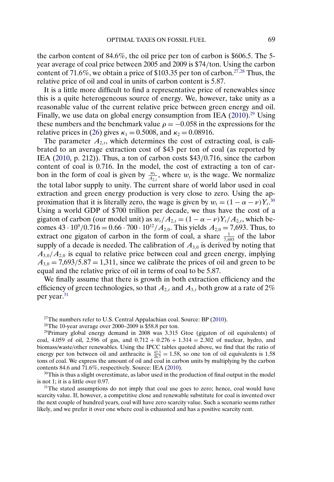<span id="page-29-0"></span>the carbon content of 84.6%, the oil price per ton of carbon is \$606.5. The 5 year average of coal price between 2005 and 2009 is \$74/ton. Using the carbon content of 71.6%, we obtain a price of \$103.35 per ton of carbon.<sup>27,28</sup> Thus, the relative price of oil and coal in units of carbon content is 5.87.

It is a little more difficult to find a representative price of renewables since this is a quite heterogeneous source of energy. We, however, take unity as a reasonable value of the current relative price between green energy and oil. Finally, we use data on global energy consumption from IEA  $(2010)^{29}$  $(2010)^{29}$  Using these numbers and the benchmark value  $\rho = -0.058$  in the expressions for the relative prices in [\(26\)](#page-28-0) gives  $\kappa_1 = 0.5008$ , and  $\kappa_2 = 0.08916$ .

The parameter  $A_{2,t}$ , which determines the cost of extracting coal, is calibrated to an average extraction cost of \$43 per ton of coal (as reported by IEA [\(2010,](#page-46-0) p. 212)). Thus, a ton of carbon costs \$43/0.716, since the carbon content of coal is 0.716. In the model, the cost of extracting a ton of carbon in the form of coal is given by  $\frac{w_t}{A_{2,t}}$ , where  $w_t$  is the wage. We normalize the total labor supply to unity. The current share of world labor used in coal extraction and green energy production is very close to zero. Using the approximation that it is literally zero, the wage is given by  $w_t = (1 - \alpha - \nu)Y_t^{30}$ Using a world GDP of \$700 trillion per decade, we thus have the cost of a gigaton of carbon (our model unit) as  $w_t/A_{2,t} = (1 - \alpha - \nu)Y_t/A_{2,t}$ , which becomes  $43 \cdot 10^9 / 0.716 = 0.66 \cdot 700 \cdot 10^{12} / A_{2,0}$ . This yields  $A_{2,0} = 7,693$ . Thus, to extract one gigaton of carbon in the form of coal, a share  $\frac{1}{7,693}$  of the labor supply of a decade is needed. The calibration of  $A_{3,0}$  is derived by noting that  $A_{3,0}/A_{2,0}$  is equal to relative price between coal and green energy, implying  $A_{3,0} = 7,693/5.87 = 1,311$ , since we calibrate the prices of oil and green to be equal and the relative price of oil in terms of coal to be 5.87.

We finally assume that there is growth in both extraction efficiency and the efficiency of green technologies, so that  $A_{2,t}$  and  $A_{3,t}$  both grow at a rate of 2% per year.<sup>31</sup>

 $31$ The stated assumptions do not imply that coal use goes to zero; hence, coal would have scarcity value. If, however, a competitive close and renewable substitute for coal is invented over the next couple of hundred years, coal will have zero scarcity value. Such a scenario seems rather likely, and we prefer it over one where coal is exhausted and has a positive scarcity rent.

<sup>&</sup>lt;sup>27</sup>The numbers refer to U.S. Central Appalachian coal. Source: BP [\(2010\)](#page-45-0).

<sup>&</sup>lt;sup>28</sup>The 10-year average over 2000–2009 is \$58.8 per ton.

<sup>&</sup>lt;sup>29</sup>Primary global energy demand in 2008 was  $3.315$  Gtoe (gigaton of oil equivalents) of coal, 4.059 of oil, 2.596 of gas, and  $0.712 + 0.276 + 1.314 = 2.302$  of nuclear, hydro, and biomass/waste/other renewables. Using the IPCC tables quoted above, we find that the ratio of energy per ton between oil and anthracite is  $\frac{42.3}{26.7}$  = 1.58, so one ton of oil equivalents is 1.58 tons of coal. We express the amount of oil and coal in carbon units by multiplying by the carbon contents 84.6 and 71.6%, respectively. Source: IEA [\(2010\)](#page-46-0).

<sup>&</sup>lt;sup>30</sup>This is thus a slight overestimate, as labor used in the production of final output in the model is not 1; it is a little over 0.97.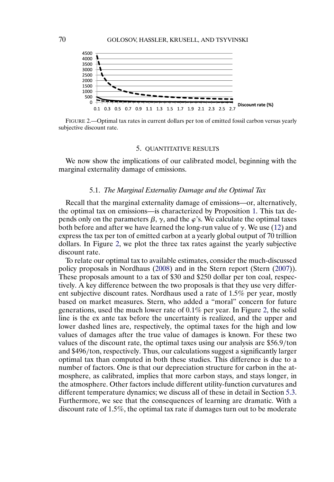<span id="page-30-0"></span>

FIGURE 2.—Optimal tax rates in current dollars per ton of emitted fossil carbon versus yearly subjective discount rate.

#### 5. QUANTITATIVE RESULTS

We now show the implications of our calibrated model, beginning with the marginal externality damage of emissions.

## 5.1. *The Marginal Externality Damage and the Optimal Tax*

Recall that the marginal externality damage of emissions—or, alternatively, the optimal tax on emissions—is characterized by Proposition [1.](#page-13-0) This tax depends only on the parameters  $β$ ,  $γ$ , and the  $φ$ 's. We calculate the optimal taxes both before and after we have learned the long-run value of  $\gamma$ . We use [\(12\)](#page-14-0) and express the tax per ton of emitted carbon at a yearly global output of 70 trillion dollars. In Figure 2, we plot the three tax rates against the yearly subjective discount rate.

To relate our optimal tax to available estimates, consider the much-discussed policy proposals in Nordhaus [\(2008\)](#page-46-0) and in the Stern report (Stern [\(2007\)](#page-47-0)). These proposals amount to a tax of \$30 and \$250 dollar per ton coal, respectively. A key difference between the two proposals is that they use very different subjective discount rates. Nordhaus used a rate of 1.5% per year, mostly based on market measures. Stern, who added a "moral" concern for future generations, used the much lower rate of 0.1% per year. In Figure 2, the solid line is the ex ante tax before the uncertainty is realized, and the upper and lower dashed lines are, respectively, the optimal taxes for the high and low values of damages after the true value of damages is known. For these two values of the discount rate, the optimal taxes using our analysis are \$56.9/ton and \$496/ton, respectively. Thus, our calculations suggest a significantly larger optimal tax than computed in both these studies. This difference is due to a number of factors. One is that our depreciation structure for carbon in the atmosphere, as calibrated, implies that more carbon stays, and stays longer, in the atmosphere. Other factors include different utility-function curvatures and different temperature dynamics; we discuss all of these in detail in Section [5.3.](#page-35-0) Furthermore, we see that the consequences of learning are dramatic. With a discount rate of 1.5%, the optimal tax rate if damages turn out to be moderate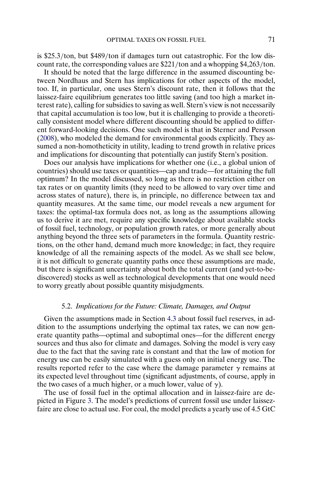is \$25.3/ton, but \$489/ton if damages turn out catastrophic. For the low discount rate, the corresponding values are \$221/ton and a whopping \$4,263/ton.

It should be noted that the large difference in the assumed discounting between Nordhaus and Stern has implications for other aspects of the model, too. If, in particular, one uses Stern's discount rate, then it follows that the laissez-faire equilibrium generates too little saving (and too high a market interest rate), calling for subsidies to saving as well. Stern's view is not necessarily that capital accumulation is too low, but it is challenging to provide a theoretically consistent model where different discounting should be applied to different forward-looking decisions. One such model is that in Sterner and Persson [\(2008\)](#page-47-0), who modeled the demand for environmental goods explicitly. They assumed a non-homotheticity in utility, leading to trend growth in relative prices and implications for discounting that potentially can justify Stern's position.

Does our analysis have implications for whether one (i.e., a global union of countries) should use taxes or quantities—cap and trade—for attaining the full optimum? In the model discussed, so long as there is no restriction either on tax rates or on quantity limits (they need to be allowed to vary over time and across states of nature), there is, in principle, no difference between tax and quantity measures. At the same time, our model reveals a new argument for taxes: the optimal-tax formula does not, as long as the assumptions allowing us to derive it are met, require any specific knowledge about available stocks of fossil fuel, technology, or population growth rates, or more generally about anything beyond the three sets of parameters in the formula. Quantity restrictions, on the other hand, demand much more knowledge; in fact, they require knowledge of all the remaining aspects of the model. As we shall see below, it is not difficult to generate quantity paths once these assumptions are made, but there is significant uncertainty about both the total current (and yet-to-bediscovered) stocks as well as technological developments that one would need to worry greatly about possible quantity misjudgments.

# 5.2. *Implications for the Future: Climate, Damages, and Output*

Given the assumptions made in Section [4.3](#page-28-0) about fossil fuel reserves, in addition to the assumptions underlying the optimal tax rates, we can now generate quantity paths—optimal and suboptimal ones—for the different energy sources and thus also for climate and damages. Solving the model is very easy due to the fact that the saving rate is constant and that the law of motion for energy use can be easily simulated with a guess only on initial energy use. The results reported refer to the case where the damage parameter  $\gamma$  remains at its expected level throughout time (significant adjustments, of course, apply in the two cases of a much higher, or a much lower, value of  $\gamma$ ).

The use of fossil fuel in the optimal allocation and in laissez-faire are depicted in Figure [3.](#page-32-0) The model's predictions of current fossil use under laissezfaire are close to actual use. For coal, the model predicts a yearly use of 4.5 GtC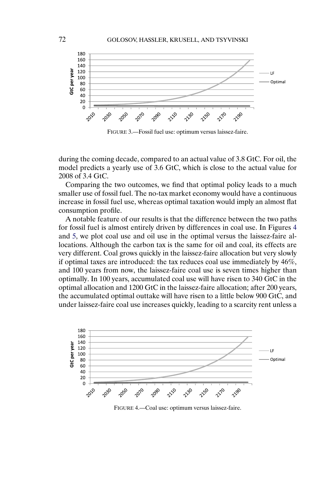<span id="page-32-0"></span>

FIGURE 3.—Fossil fuel use: optimum versus laissez-faire.

during the coming decade, compared to an actual value of 3.8 GtC. For oil, the model predicts a yearly use of 3.6 GtC, which is close to the actual value for 2008 of 3.4 GtC.

Comparing the two outcomes, we find that optimal policy leads to a much smaller use of fossil fuel. The no-tax market economy would have a continuous increase in fossil fuel use, whereas optimal taxation would imply an almost flat consumption profile.

A notable feature of our results is that the difference between the two paths for fossil fuel is almost entirely driven by differences in coal use. In Figures 4 and [5,](#page-33-0) we plot coal use and oil use in the optimal versus the laissez-faire allocations. Although the carbon tax is the same for oil and coal, its effects are very different. Coal grows quickly in the laissez-faire allocation but very slowly if optimal taxes are introduced: the tax reduces coal use immediately by 46%, and 100 years from now, the laissez-faire coal use is seven times higher than optimally. In 100 years, accumulated coal use will have risen to 340 GtC in the optimal allocation and 1200 GtC in the laissez-faire allocation; after 200 years, the accumulated optimal outtake will have risen to a little below 900 GtC, and under laissez-faire coal use increases quickly, leading to a scarcity rent unless a



FIGURE 4.—Coal use: optimum versus laissez-faire.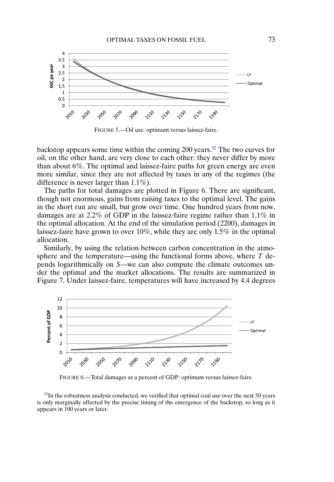<span id="page-33-0"></span>

FIGURE 5.—Oil use: optimum versus laissez-faire.

backstop appears some time within the coming 200 years.32 The two curves for oil, on the other hand, are very close to each other: they never differ by more than about 6%. The optimal and laissez-faire paths for green energy are even more similar, since they are not affected by taxes in any of the regimes (the difference is never larger than 1.1%).

The paths for total damages are plotted in Figure 6. There are significant, though not enormous, gains from raising taxes to the optimal level. The gains in the short run are small, but grow over time. One hundred years from now, damages are at 2.2% of GDP in the laissez-faire regime rather than 1.1% in the optimal allocation. At the end of the simulation period (2200), damages in laissez-faire have grown to over 10%, while they are only 1.5% in the optimal allocation.

Similarly, by using the relation between carbon concentration in the atmosphere and the temperature—using the functional forms above, where  $T$  depends logarithmically on S—we can also compute the climate outcomes under the optimal and the market allocations. The results are summarized in Figure [7.](#page-34-0) Under laissez-faire, temperatures will have increased by 4.4 degrees



FIGURE 6.—Total damages as a percent of GDP: optimum versus laissez-faire.

 $32$ In the robustness analysis conducted, we verified that optimal coal use over the next 50 years is only marginally affected by the precise timing of the emergence of the backstop, so long as it appears in 100 years or later.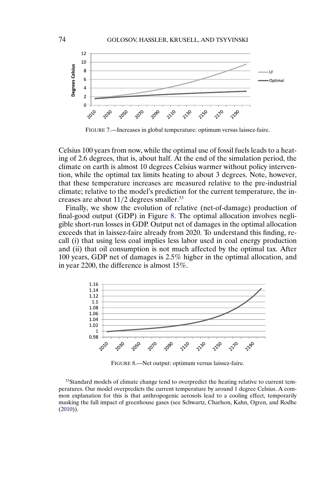<span id="page-34-0"></span>

FIGURE 7.—Increases in global temperature: optimum versus laissez-faire.

Celsius 100 years from now, while the optimal use of fossil fuels leads to a heating of 2.6 degrees, that is, about half. At the end of the simulation period, the climate on earth is almost 10 degrees Celsius warmer without policy intervention, while the optimal tax limits heating to about 3 degrees. Note, however, that these temperature increases are measured relative to the pre-industrial climate; relative to the model's prediction for the current temperature, the increases are about  $11/2$  degrees smaller.<sup>33</sup>

Finally, we show the evolution of relative (net-of-damage) production of final-good output (GDP) in Figure 8. The optimal allocation involves negligible short-run losses in GDP. Output net of damages in the optimal allocation exceeds that in laissez-faire already from 2020. To understand this finding, recall (i) that using less coal implies less labor used in coal energy production and (ii) that oil consumption is not much affected by the optimal tax. After 100 years, GDP net of damages is 2.5% higher in the optimal allocation, and in year 2200, the difference is almost 15%.



FIGURE 8.—Net output: optimum versus laissez-faire.

<sup>33</sup>Standard models of climate change tend to overpredict the heating relative to current temperatures. Our model overpredicts the current temperature by around 1 degree Celsius. A common explanation for this is that anthropogenic aerosols lead to a cooling effect, temporarily masking the full impact of greenhouse gases (see Schwartz, Charlson, Kahn, Ogren, and Rodhe [\(2010\)](#page-47-0)).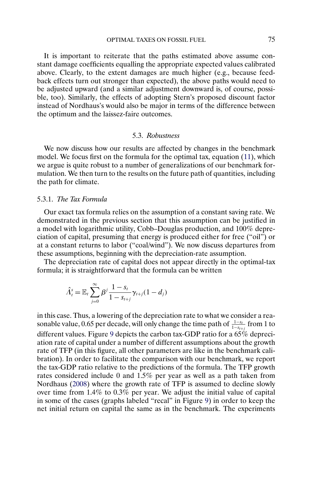<span id="page-35-0"></span>It is important to reiterate that the paths estimated above assume constant damage coefficients equalling the appropriate expected values calibrated above. Clearly, to the extent damages are much higher (e.g., because feedback effects turn out stronger than expected), the above paths would need to be adjusted upward (and a similar adjustment downward is, of course, possible, too). Similarly, the effects of adopting Stern's proposed discount factor instead of Nordhaus's would also be major in terms of the difference between the optimum and the laissez-faire outcomes.

# 5.3. *Robustness*

We now discuss how our results are affected by changes in the benchmark model. We focus first on the formula for the optimal tax, equation [\(11\)](#page-13-0), which we argue is quite robust to a number of generalizations of our benchmark formulation. We then turn to the results on the future path of quantities, including the path for climate.

# 5.3.1. *The Tax Formula*

Our exact tax formula relies on the assumption of a constant saving rate. We demonstrated in the previous section that this assumption can be justified in a model with logarithmic utility, Cobb–Douglas production, and 100% depreciation of capital, presuming that energy is produced either for free ("oil") or at a constant returns to labor ("coal/wind"). We now discuss departures from these assumptions, beginning with the depreciation-rate assumption.

The depreciation rate of capital does not appear directly in the optimal-tax formula; it is straightforward that the formula can be written

$$
\hat{\Lambda}_t^s = \mathbb{E}_t \sum_{j=0}^{\infty} \beta^j \frac{1 - s_t}{1 - s_{t+j}} \gamma_{t+j} (1 - d_j)
$$

in this case. Thus, a lowering of the depreciation rate to what we consider a reasonable value, 0.65 per decade, will only change the time path of  $\frac{1-s_t}{1-s_{t+j}}$  from 1 to different values. Figure [9](#page-36-0) depicts the carbon tax-GDP ratio for a 65% depreciation rate of capital under a number of different assumptions about the growth rate of TFP (in this figure, all other parameters are like in the benchmark calibration). In order to facilitate the comparison with our benchmark, we report the tax-GDP ratio relative to the predictions of the formula. The TFP growth rates considered include 0 and 1.5% per year as well as a path taken from Nordhaus [\(2008\)](#page-46-0) where the growth rate of TFP is assumed to decline slowly over time from 1.4% to 0.3% per year. We adjust the initial value of capital in some of the cases (graphs labeled "recal" in Figure [9\)](#page-36-0) in order to keep the net initial return on capital the same as in the benchmark. The experiments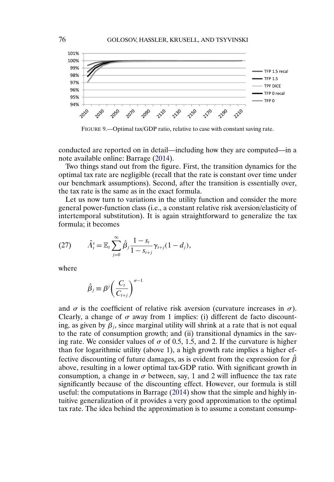<span id="page-36-0"></span>

FIGURE 9.—Optimal tax/GDP ratio, relative to case with constant saving rate.

conducted are reported on in detail—including how they are computed—in a note available online: Barrage [\(2014\)](#page-45-0).

Two things stand out from the figure. First, the transition dynamics for the optimal tax rate are negligible (recall that the rate is constant over time under our benchmark assumptions). Second, after the transition is essentially over, the tax rate is the same as in the exact formula.

Let us now turn to variations in the utility function and consider the more general power-function class (i.e., a constant relative risk aversion/elasticity of intertemporal substitution). It is again straightforward to generalize the tax formula; it becomes

(27) 
$$
\hat{\Lambda}_t^s = \mathbb{E}_t \sum_{j=0}^{\infty} \hat{\beta}_j \frac{1 - s_t}{1 - s_{t+j}} \gamma_{t+j} (1 - d_j),
$$

where

$$
\hat{\beta}_j \equiv \beta^j \left(\frac{C_t}{C_{t+j}}\right)^{\sigma-1}
$$

and  $\sigma$  is the coefficient of relative risk aversion (curvature increases in  $\sigma$ ). Clearly, a change of  $\sigma$  away from 1 implies: (i) different de facto discounting, as given by  $\beta_i$ , since marginal utility will shrink at a rate that is not equal to the rate of consumption growth; and (ii) transitional dynamics in the saving rate. We consider values of  $\sigma$  of 0.5, 1.5, and 2. If the curvature is higher than for logarithmic utility (above 1), a high growth rate implies a higher effective discounting of future damages, as is evident from the expression for  $\hat{\beta}$ above, resulting in a lower optimal tax-GDP ratio. With significant growth in consumption, a change in  $\sigma$  between, say, 1 and 2 will influence the tax rate significantly because of the discounting effect. However, our formula is still useful: the computations in Barrage [\(2014\)](#page-45-0) show that the simple and highly intuitive generalization of it provides a very good approximation to the optimal tax rate. The idea behind the approximation is to assume a constant consump-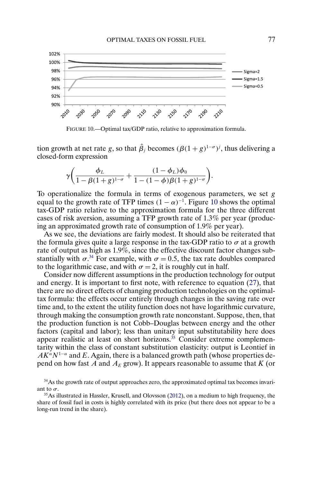<span id="page-37-0"></span>

FIGURE 10.—Optimal tax/GDP ratio, relative to approximation formula.

tion growth at net rate g, so that  $\hat{\beta}_j$  becomes  $(\beta(1+g)^{1-\sigma})^j$ , thus delivering a closed-form expression

$$
\gamma \bigg( \frac{\phi_L}{1 - \beta (1 + g)^{1 - \sigma}} + \frac{(1 - \phi_L) \phi_0}{1 - (1 - \phi) \beta (1 + g)^{1 - \sigma}} \bigg).
$$

To operationalize the formula in terms of exogenous parameters, we set  $g$ equal to the growth rate of TFP times  $(1 - \alpha)^{-1}$ . Figure 10 shows the optimal tax-GDP ratio relative to the approximation formula for the three different cases of risk aversion, assuming a TFP growth rate of 1.3% per year (producing an approximated growth rate of consumption of 1.9% per year).

As we see, the deviations are fairly modest. It should also be reiterated that the formula gives quite a large response in the tax-GDP ratio to  $\sigma$  at a growth rate of output as high as 1.9%, since the effective discount factor changes substantially with  $\sigma$ <sup>34</sup>. For example, with  $\sigma = 0.5$ , the tax rate doubles compared to the logarithmic case, and with  $\sigma = 2$ , it is roughly cut in half.

Consider now different assumptions in the production technology for output and energy. It is important to first note, with reference to equation [\(27\)](#page-36-0), that there are no direct effects of changing production technologies on the optimaltax formula: the effects occur entirely through changes in the saving rate over time and, to the extent the utility function does not have logarithmic curvature, through making the consumption growth rate nonconstant. Suppose, then, that the production function is not Cobb–Douglas between energy and the other factors (capital and labor); less than unitary input substitutability here does appear realistic at least on short horizons.<sup>35</sup> Consider extreme complementarity within the class of constant substitution elasticity: output is Leontief in  $AK^{\alpha}N^{1-\alpha}$  and E. Again, there is a balanced growth path (whose properties depend on how fast A and  $A_E$  grow). It appears reasonable to assume that K (or

<sup>&</sup>lt;sup>34</sup>As the growth rate of output approaches zero, the approximated optimal tax becomes invariant to  $\sigma$ .

 $35$ As illustrated in Hassler, Krusell, and Olovsson [\(2012\)](#page-46-0), on a medium to high frequency, the share of fossil fuel in costs is highly correlated with its price (but there does not appear to be a long-run trend in the share).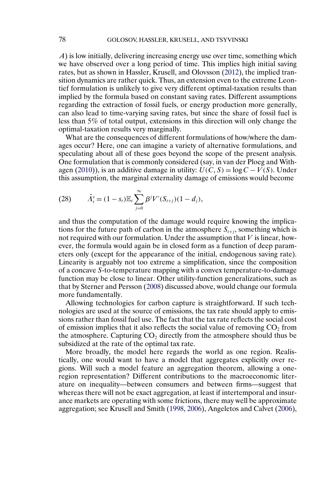<span id="page-38-0"></span>A) is low initially, delivering increasing energy use over time, something which we have observed over a long period of time. This implies high initial saving rates, but as shown in Hassler, Krusell, and Olovsson [\(2012\)](#page-46-0), the implied transition dynamics are rather quick. Thus, an extension even to the extreme Leontief formulation is unlikely to give very different optimal-taxation results than implied by the formula based on constant saving rates. Different assumptions regarding the extraction of fossil fuels, or energy production more generally, can also lead to time-varying saving rates, but since the share of fossil fuel is less than 5% of total output, extensions in this direction will only change the optimal-taxation results very marginally.

What are the consequences of different formulations of how/where the damages occur? Here, one can imagine a variety of alternative formulations, and speculating about all of these goes beyond the scope of the present analysis. One formulation that is commonly considered (say, in van der Ploeg and With-agen [\(2010\)](#page-47-0)), is an additive damage in utility:  $U(C, S) = \log C - V(S)$ . Under this assumption, the marginal externality damage of emissions would become

(28) 
$$
\hat{\Lambda}_t^s = (1 - s_t) \mathbb{E}_t \sum_{j=0}^{\infty} \beta^j V'(S_{t+j})(1 - d_j),
$$

and thus the computation of the damage would require knowing the implications for the future path of carbon in the atmosphere  $S_{t+j}$ , something which is not required with our formulation. Under the assumption that  $V$  is linear, however, the formula would again be in closed form as a function of deep parameters only (except for the appearance of the initial, endogenous saving rate). Linearity is arguably not too extreme a simplification, since the composition of a concave S-to-temperature mapping with a convex temperature-to-damage function may be close to linear. Other utility-function generalizations, such as that by Sterner and Persson [\(2008\)](#page-47-0) discussed above, would change our formula more fundamentally.

Allowing technologies for carbon capture is straightforward. If such technologies are used at the source of emissions, the tax rate should apply to emissions rather than fossil fuel use. The fact that the tax rate reflects the social cost of emission implies that it also reflects the social value of removing  $CO<sub>2</sub>$  from the atmosphere. Capturing  $CO<sub>2</sub>$  directly from the atmosphere should thus be subsidized at the rate of the optimal tax rate.

More broadly, the model here regards the world as one region. Realistically, one would want to have a model that aggregates explicitly over regions. Will such a model feature an aggregation theorem, allowing a oneregion representation? Different contributions to the macroeconomic literature on inequality—between consumers and between firms—suggest that whereas there will not be exact aggregation, at least if intertemporal and insurance markets are operating with some frictions, there may well be approximate aggregation; see Krusell and Smith [\(1998,](#page-46-0) [2006\)](#page-46-0), Angeletos and Calvet [\(2006\)](#page-45-0),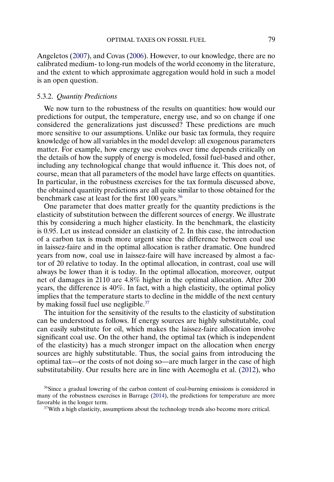<span id="page-39-0"></span>Angeletos [\(2007\)](#page-45-0), and Covas [\(2006\)](#page-45-0). However, to our knowledge, there are no calibrated medium- to long-run models of the world economy in the literature, and the extent to which approximate aggregation would hold in such a model is an open question.

# 5.3.2. *Quantity Predictions*

We now turn to the robustness of the results on quantities: how would our predictions for output, the temperature, energy use, and so on change if one considered the generalizations just discussed? These predictions are much more sensitive to our assumptions. Unlike our basic tax formula, they require knowledge of how all variables in the model develop: all exogenous parameters matter. For example, how energy use evolves over time depends critically on the details of how the supply of energy is modeled, fossil fuel-based and other, including any technological change that would influence it. This does not, of course, mean that all parameters of the model have large effects on quantities. In particular, in the robustness exercises for the tax formula discussed above, the obtained quantity predictions are all quite similar to those obtained for the benchmark case at least for the first 100 years.<sup>36</sup>

One parameter that does matter greatly for the quantity predictions is the elasticity of substitution between the different sources of energy. We illustrate this by considering a much higher elasticity. In the benchmark, the elasticity is 0.95. Let us instead consider an elasticity of 2. In this case, the introduction of a carbon tax is much more urgent since the difference between coal use in laissez-faire and in the optimal allocation is rather dramatic. One hundred years from now, coal use in laissez-faire will have increased by almost a factor of 20 relative to today. In the optimal allocation, in contrast, coal use will always be lower than it is today. In the optimal allocation, moreover, output net of damages in 2110 are 4.8% higher in the optimal allocation. After 200 years, the difference is 40%. In fact, with a high elasticity, the optimal policy implies that the temperature starts to decline in the middle of the next century by making fossil fuel use negligible.<sup>37</sup>

The intuition for the sensitivity of the results to the elasticity of substitution can be understood as follows. If energy sources are highly substitutable, coal can easily substitute for oil, which makes the laissez-faire allocation involve significant coal use. On the other hand, the optimal tax (which is independent of the elasticity) has a much stronger impact on the allocation when energy sources are highly substitutable. Thus, the social gains from introducing the optimal tax—or the costs of not doing so—are much larger in the case of high substitutability. Our results here are in line with Acemoglu et al. [\(2012\)](#page-45-0), who

<sup>36</sup>Since a gradual lowering of the carbon content of coal-burning emissions is considered in many of the robustness exercises in Barrage [\(2014\)](#page-45-0), the predictions for temperature are more favorable in the longer term.

<sup>&</sup>lt;sup>37</sup>With a high elasticity, assumptions about the technology trends also become more critical.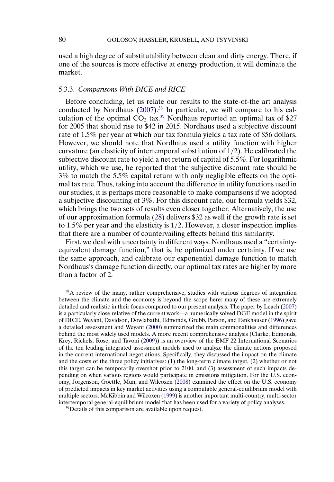<span id="page-40-0"></span>used a high degree of substitutability between clean and dirty energy. There, if one of the sources is more effective at energy production, it will dominate the market.

# 5.3.3. *Comparisons With DICE and RICE*

Before concluding, let us relate our results to the state-of-the art analysis conducted by Nordhaus [\(2007\)](#page-46-0).<sup>38</sup> In particular, we will compare to his calculation of the optimal  $CO<sub>2</sub>$  tax.<sup>39</sup> Nordhaus reported an optimal tax of \$27 for 2005 that should rise to \$42 in 2015. Nordhaus used a subjective discount rate of 1.5% per year at which our tax formula yields a tax rate of \$56 dollars. However, we should note that Nordhaus used a utility function with higher curvature (an elasticity of intertemporal substitution of 1/2). He calibrated the subjective discount rate to yield a net return of capital of 5.5%. For logarithmic utility, which we use, he reported that the subjective discount rate should be 3% to match the 5.5% capital return with only negligible effects on the optimal tax rate. Thus, taking into account the difference in utility functions used in our studies, it is perhaps more reasonable to make comparisons if we adopted a subjective discounting of 3%. For this discount rate, our formula yields \$32, which brings the two sets of results even closer together. Alternatively, the use of our approximation formula [\(28\)](#page-38-0) delivers \$32 as well if the growth rate is set to 1.5% per year and the elasticity is 1/2. However, a closer inspection implies that there are a number of countervailing effects behind this similarity.

First, we deal with uncertainty in different ways. Nordhaus used a "certaintyequivalent damage function," that is, he optimized under certainty. If we use the same approach, and calibrate our exponential damage function to match Nordhaus's damage function directly, our optimal tax rates are higher by more than a factor of 2.

38A review of the many, rather comprehensive, studies with various degrees of integration between the climate and the economy is beyond the scope here; many of these are extremely detailed and realistic in their focus compared to our present analysis. The paper by Leach [\(2007\)](#page-46-0) is a particularly close relative of the current work—a numerically solved DGE model in the spirit of DICE. Weyant, Davidson, Dowlabathi, Edmonds, Grubb, Parson, and Fankhauser [\(1996\)](#page-48-0) gave a detailed assessment and Weyant [\(2000\)](#page-47-0) summarized the main commonalities and differences behind the most widely used models. A more recent comprehensive analysis (Clarke, Edmonds, Krey, Richels, Rose, and Tavoni [\(2009\)](#page-45-0)) is an overview of the EMF 22 International Scenarios of the ten leading integrated assessment models used to analyze the climate actions proposed in the current international negotiations. Specifically, they discussed the impact on the climate and the costs of the three policy initiatives: (1) the long-term climate target, (2) whether or not this target can be temporarily overshot prior to 2100, and (3) assessment of such impacts depending on when various regions would participate in emissions mitigation. For the U.S. economy, Jorgenson, Goettle, Mun, and Wilcoxen [\(2008\)](#page-46-0) examined the effect on the U.S. economy of predicted impacts in key market activities using a computable general-equilibrium model with multiple sectors. McKibbin and Wilcoxen [\(1999\)](#page-46-0) is another important multi-country, multi-sector intertemporal general-equilibrium model that has been used for a variety of policy analyses.

<sup>39</sup>Details of this comparison are available upon request.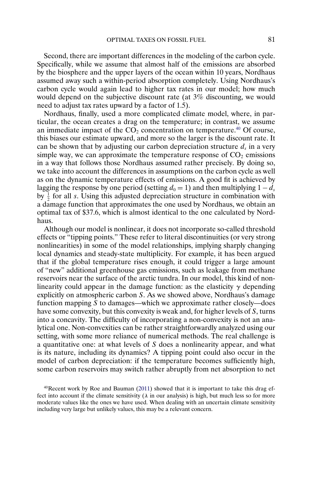<span id="page-41-0"></span>Second, there are important differences in the modeling of the carbon cycle. Specifically, while we assume that almost half of the emissions are absorbed by the biosphere and the upper layers of the ocean within 10 years, Nordhaus assumed away such a within-period absorption completely. Using Nordhaus's carbon cycle would again lead to higher tax rates in our model; how much would depend on the subjective discount rate (at 3% discounting, we would need to adjust tax rates upward by a factor of 1.5).

Nordhaus, finally, used a more complicated climate model, where, in particular, the ocean creates a drag on the temperature; in contrast, we assume an immediate impact of the  $\overline{CO_2}$  concentration on temperature.<sup>40</sup> Of course, this biases our estimate upward, and more so the larger is the discount rate. It can be shown that by adjusting our carbon depreciation structure  $d<sub>s</sub>$  in a very simple way, we can approximate the temperature response of  $CO<sub>2</sub>$  emissions in a way that follows those Nordhaus assumed rather precisely. By doing so, we take into account the differences in assumptions on the carbon cycle as well as on the dynamic temperature effects of emissions. A good fit is achieved by lagging the response by one period (setting  $d_0 = 1$ ) and then multiplying  $1 - d_s$ by  $\frac{1}{2}$  for all s. Using this adjusted depreciation structure in combination with a damage function that approximates the one used by Nordhaus, we obtain an optimal tax of \$37.6, which is almost identical to the one calculated by Nordhaus.

Although our model is nonlinear, it does not incorporate so-called threshold effects or "tipping points." These refer to literal discontinuities (or very strong nonlinearities) in some of the model relationships, implying sharply changing local dynamics and steady-state multiplicity. For example, it has been argued that if the global temperature rises enough, it could trigger a large amount of "new" additional greenhouse gas emissions, such as leakage from methane reservoirs near the surface of the arctic tundra. In our model, this kind of nonlinearity could appear in the damage function: as the elasticity  $\gamma$  depending explicitly on atmospheric carbon S. As we showed above, Nordhaus's damage function mapping S to damages—which we approximate rather closely—does have some convexity, but this convexity is weak and, for higher levels of S, turns into a concavity. The difficulty of incorporating a non-convexity is not an analytical one. Non-convexities can be rather straightforwardly analyzed using our setting, with some more reliance of numerical methods. The real challenge is a quantitative one: at what levels of S does a nonlinearity appear, and what is its nature, including its dynamics? A tipping point could also occur in the model of carbon depreciation: if the temperature becomes sufficiently high, some carbon reservoirs may switch rather abruptly from net absorption to net

<sup>&</sup>lt;sup>40</sup>Recent work by Roe and Bauman [\(2011\)](#page-47-0) showed that it is important to take this drag effect into account if the climate sensitivity ( $\lambda$  in our analysis) is high, but much less so for more moderate values like the ones we have used. When dealing with an uncertain climate sensitivity including very large but unlikely values, this may be a relevant concern.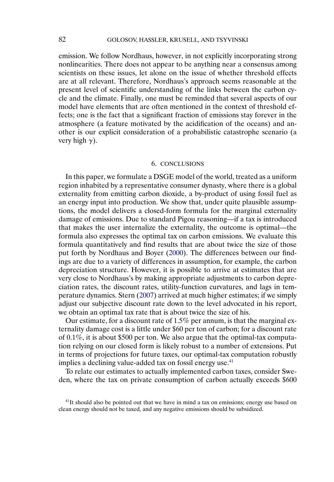<span id="page-42-0"></span>emission. We follow Nordhaus, however, in not explicitly incorporating strong nonlinearities. There does not appear to be anything near a consensus among scientists on these issues, let alone on the issue of whether threshold effects are at all relevant. Therefore, Nordhaus's approach seems reasonable at the present level of scientific understanding of the links between the carbon cycle and the climate. Finally, one must be reminded that several aspects of our model have elements that are often mentioned in the context of threshold effects; one is the fact that a significant fraction of emissions stay forever in the atmosphere (a feature motivated by the acidification of the oceans) and another is our explicit consideration of a probabilistic catastrophe scenario (a very high  $\gamma$ ).

#### 6. CONCLUSIONS

In this paper, we formulate a DSGE model of the world, treated as a uniform region inhabited by a representative consumer dynasty, where there is a global externality from emitting carbon dioxide, a by-product of using fossil fuel as an energy input into production. We show that, under quite plausible assumptions, the model delivers a closed-form formula for the marginal externality damage of emissions. Due to standard Pigou reasoning—if a tax is introduced that makes the user internalize the externality, the outcome is optimal—the formula also expresses the optimal tax on carbon emissions. We evaluate this formula quantitatively and find results that are about twice the size of those put forth by Nordhaus and Boyer [\(2000\)](#page-46-0). The differences between our findings are due to a variety of differences in assumption, for example, the carbon depreciation structure. However, it is possible to arrive at estimates that are very close to Nordhaus's by making appropriate adjustments to carbon depreciation rates, the discount rates, utility-function curvatures, and lags in temperature dynamics. Stern [\(2007\)](#page-47-0) arrived at much higher estimates; if we simply adjust our subjective discount rate down to the level advocated in his report, we obtain an optimal tax rate that is about twice the size of his.

Our estimate, for a discount rate of 1.5% per annum, is that the marginal externality damage cost is a little under \$60 per ton of carbon; for a discount rate of 0.1%, it is about \$500 per ton. We also argue that the optimal-tax computation relying on our closed form is likely robust to a number of extensions. Put in terms of projections for future taxes, our optimal-tax computation robustly implies a declining value-added tax on fossil energy use.<sup>41</sup>

To relate our estimates to actually implemented carbon taxes, consider Sweden, where the tax on private consumption of carbon actually exceeds \$600

 $41$ It should also be pointed out that we have in mind a tax on emissions; energy use based on clean energy should not be taxed, and any negative emissions should be subsidized.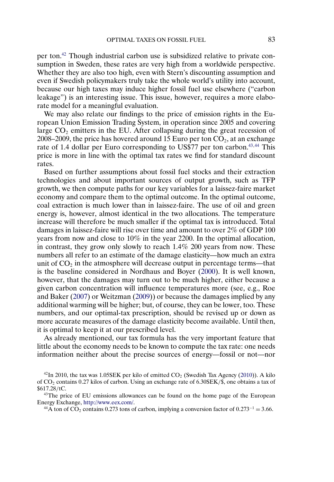<span id="page-43-0"></span>per ton.42 Though industrial carbon use is subsidized relative to private consumption in Sweden, these rates are very high from a worldwide perspective. Whether they are also too high, even with Stern's discounting assumption and even if Swedish policymakers truly take the whole world's utility into account, because our high taxes may induce higher fossil fuel use elsewhere ("carbon leakage") is an interesting issue. This issue, however, requires a more elaborate model for a meaningful evaluation.

We may also relate our findings to the price of emission rights in the European Union Emission Trading System, in operation since 2005 and covering large  $CO<sub>2</sub>$  emitters in the EU. After collapsing during the great recession of 2008–2009, the price has hovered around 15 Euro per ton  $CO_2$ , at an exchange rate of 1.4 dollar per Euro corresponding to US\$77 per ton carbon.<sup>43,44</sup> This price is more in line with the optimal tax rates we find for standard discount rates.

Based on further assumptions about fossil fuel stocks and their extraction technologies and about important sources of output growth, such as TFP growth, we then compute paths for our key variables for a laissez-faire market economy and compare them to the optimal outcome. In the optimal outcome, coal extraction is much lower than in laissez-faire. The use of oil and green energy is, however, almost identical in the two allocations. The temperature increase will therefore be much smaller if the optimal tax is introduced. Total damages in laissez-faire will rise over time and amount to over 2% of GDP 100 years from now and close to 10% in the year 2200. In the optimal allocation, in contrast, they grow only slowly to reach 1.4% 200 years from now. These numbers all refer to an estimate of the damage elasticity—how much an extra unit of  $CO<sub>2</sub>$  in the atmosphere will decrease output in percentage terms—that is the baseline considered in Nordhaus and Boyer [\(2000\)](#page-46-0). It is well known, however, that the damages may turn out to be much higher, either because a given carbon concentration will influence temperatures more (see, e.g., Roe and Baker [\(2007\)](#page-47-0) or Weitzman [\(2009\)](#page-47-0)) or because the damages implied by any additional warming will be higher; but, of course, they can be lower, too. These numbers, and our optimal-tax prescription, should be revised up or down as more accurate measures of the damage elasticity become available. Until then, it is optimal to keep it at our prescribed level.

As already mentioned, our tax formula has the very important feature that little about the economy needs to be known to compute the tax rate: one needs information neither about the precise sources of energy—fossil or not—nor

<sup>&</sup>lt;sup>42</sup>In 2010, the tax was 1.05SEK per kilo of emitted  $CO<sub>2</sub>$  (Swedish Tax Agency [\(2010\)](#page-47-0)). A kilo of CO<sub>2</sub> contains 0.27 kilos of carbon. Using an exchange rate of 6.30SEK/\$, one obtains a tax of \$617.28/tC.

<sup>&</sup>lt;sup>43</sup>The price of EU emissions allowances can be found on the home page of the European Energy Exchange, <http://www.eex.com/>.

<sup>&</sup>lt;sup>44</sup>A ton of CO<sub>2</sub> contains 0.273 tons of carbon, implying a conversion factor of 0.273<sup>-1</sup> = 3.66.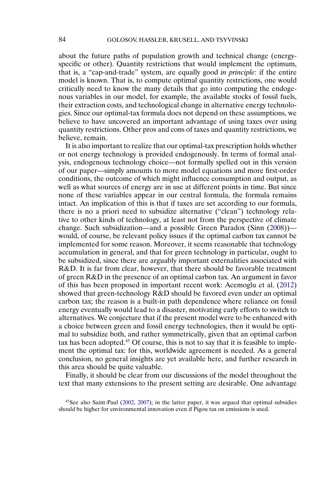<span id="page-44-0"></span>about the future paths of population growth and technical change (energyspecific or other). Quantity restrictions that would implement the optimum, that is, a "cap-and-trade" system, are equally good *in principle*: if the entire model is known. That is, to compute optimal quantity restrictions, one would critically need to know the many details that go into computing the endogenous variables in our model, for example, the available stocks of fossil fuels, their extraction costs, and technological change in alternative energy technologies. Since our optimal-tax formula does not depend on these assumptions, we believe to have uncovered an important advantage of using taxes over using quantity restrictions. Other pros and cons of taxes and quantity restrictions, we believe, remain.

It is also important to realize that our optimal-tax prescription holds whether or not energy technology is provided endogenously. In terms of formal analysis, endogenous technology choice—not formally spelled out in this version of our paper—simply amounts to more model equations and more first-order conditions, the outcome of which might influence consumption and output, as well as what sources of energy are in use at different points in time. But since none of these variables appear in our central formula, the formula remains intact. An implication of this is that if taxes are set according to our formula, there is no a priori need to subsidize alternative ("clean") technology relative to other kinds of technology, at least not from the perspective of climate change. Such subsidization—and a possible Green Paradox (Sinn [\(2008\)](#page-47-0)) would, of course, be relevant policy issues if the optimal carbon tax cannot be implemented for some reason. Moreover, it seems reasonable that technology accumulation in general, and that for green technology in particular, ought to be subsidized, since there are arguably important externalities associated with R&D. It is far from clear, however, that there should be favorable treatment of green R&D in the presence of an optimal carbon tax. An argument in favor of this has been proposed in important recent work: Acemoglu et al. [\(2012\)](#page-45-0) showed that green-technology R&D should be favored even under an optimal carbon tax; the reason is a built-in path dependence where reliance on fossil energy eventually would lead to a disaster, motivating early efforts to switch to alternatives. We conjecture that if the present model were to be enhanced with a choice between green and fossil energy technologies, then it would be optimal to subsidize both, and rather symmetrically, given that an optimal carbon tax has been adopted.45 Of course, this is not to say that it is feasible to implement the optimal tax: for this, worldwide agreement is needed. As a general conclusion, no general insights are yet available here, and further research in this area should be quite valuable.

Finally, it should be clear from our discussions of the model throughout the text that many extensions to the present setting are desirable. One advantage

 $45$ See also Saint-Paul [\(2002,](#page-47-0) [2007\)](#page-47-0); in the latter paper, it was argued that optimal subsidies should be higher for environmental innovation even if Pigou tax on emissions is used.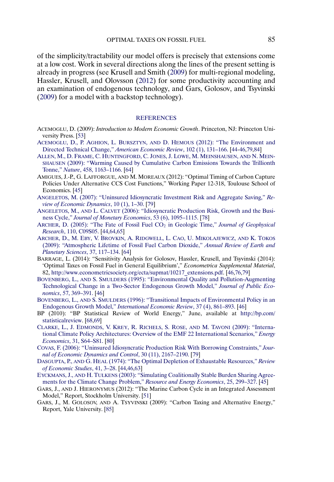<span id="page-45-0"></span>of the simplicity/tractability our model offers is precisely that extensions come at a low cost. Work in several directions along the lines of the present setting is already in progress (see Krusell and Smith [\(2009\)](#page-46-0) for multi-regional modeling, Hassler, Krusell, and Olovsson [\(2012\)](#page-46-0) for some productivity accounting and an examination of endogenous technology, and Gars, Golosov, and Tsyvinski (2009) for a model with a backstop technology).

#### **[REFERENCES](http://www.e-publications.org/srv/ecta/linkserver/setprefs?rfe_id=urn:sici%2F0012-9682%28201401%2982%3A1%3C41%3AOTOFFI%3E2.0.CO%3B2-L)**

- ACEMOGLU, D. (2009): *Introduction to Modern Economic Growth*. Princeton, NJ: Princeton University Press. [\[53\]](#page-12-0)
- [ACEMOGLU, D., P. AGHION, L. BURSZTYN,](http://www.e-publications.org/srv/ecta/linkserver/openurl?rft_dat=bib:2/Aceetal2012&rfe_id=urn:sici%2F0012-9682%28201401%2982%3A1%3C41%3AOTOFFI%3E2.0.CO%3B2-L) AND D. HEMOUS (2012): "The Environment and [Directed Technical Change,"](http://www.e-publications.org/srv/ecta/linkserver/openurl?rft_dat=bib:2/Aceetal2012&rfe_id=urn:sici%2F0012-9682%28201401%2982%3A1%3C41%3AOTOFFI%3E2.0.CO%3B2-L) *American Economic Review*, 102 (1), 131–166. [\[44-](#page-3-0)[46](#page-5-0)[,79,](#page-38-0)[84\]](#page-43-0)
- [ALLEN, M., D. FRAME, C. HUNTINGFORD, C. JONES, J. LOWE, M. MEINSHAUSEN,](http://www.e-publications.org/srv/ecta/linkserver/openurl?rft_dat=bib:3/Alletal2009&rfe_id=urn:sici%2F0012-9682%28201401%2982%3A1%3C41%3AOTOFFI%3E2.0.CO%3B2-L) AND N. MEIN-SHAUSEN [\(2009\): "Warming Caused by Cumulative Carbon Emissions Towards the Trillionth](http://www.e-publications.org/srv/ecta/linkserver/openurl?rft_dat=bib:3/Alletal2009&rfe_id=urn:sici%2F0012-9682%28201401%2982%3A1%3C41%3AOTOFFI%3E2.0.CO%3B2-L) Tonne," *Nature*[, 458, 1163–1166.](http://www.e-publications.org/srv/ecta/linkserver/openurl?rft_dat=bib:3/Alletal2009&rfe_id=urn:sici%2F0012-9682%28201401%2982%3A1%3C41%3AOTOFFI%3E2.0.CO%3B2-L) [\[64\]](#page-23-0)
- AMIGUES, J.-P., G. LAFFORGUE, AND M. MOREAUX (2012): "Optimal Timing of Carbon Capture Policies Under Alternative CCS Cost Functions," Working Paper 12-318, Toulouse School of Economics. [\[45\]](#page-4-0)
- [ANGELETOS, M. \(2007\): "Uninsured Idiosyncratic Investment Risk and Aggregate Saving,"](http://www.e-publications.org/srv/ecta/linkserver/openurl?rft_dat=bib:5/Ang2007&rfe_id=urn:sici%2F0012-9682%28201401%2982%3A1%3C41%3AOTOFFI%3E2.0.CO%3B2-L) *Re[view of Economic Dynamics](http://www.e-publications.org/srv/ecta/linkserver/openurl?rft_dat=bib:5/Ang2007&rfe_id=urn:sici%2F0012-9682%28201401%2982%3A1%3C41%3AOTOFFI%3E2.0.CO%3B2-L)*, 10 (1), 1–30. [\[79\]](#page-38-0)
- ANGELETOS, M., AND L. CALVET [\(2006\): "Idiosyncratic Production Risk, Growth and the Busi](http://www.e-publications.org/srv/ecta/linkserver/openurl?rft_dat=bib:6/AngCal2006&rfe_id=urn:sici%2F0012-9682%28201401%2982%3A1%3C41%3AOTOFFI%3E2.0.CO%3B2-L)ness Cycle," *[Journal of Monetary Economics](http://www.e-publications.org/srv/ecta/linkserver/openurl?rft_dat=bib:6/AngCal2006&rfe_id=urn:sici%2F0012-9682%28201401%2982%3A1%3C41%3AOTOFFI%3E2.0.CO%3B2-L)*, 53 (6), 1095–1115. [\[78\]](#page-37-0)
- [ARCHER, D. \(2005\): "The Fate of Fossil Fuel CO2](http://www.e-publications.org/srv/ecta/linkserver/openurl?rft_dat=bib:7/Arc2005&rfe_id=urn:sici%2F0012-9682%28201401%2982%3A1%3C41%3AOTOFFI%3E2.0.CO%3B2-L) in Geologic Time," *Journal of Geophysical Research*[, 110, C09S05.](http://www.e-publications.org/srv/ecta/linkserver/openurl?rft_dat=bib:7/Arc2005&rfe_id=urn:sici%2F0012-9682%28201401%2982%3A1%3C41%3AOTOFFI%3E2.0.CO%3B2-L) [\[44,](#page-3-0)[64](#page-23-0)[,65\]](#page-24-0)
- [ARCHER, D., M. EBY, V. BROVKIN, A. RIDGWELL, L. CAO, U. MIKOLAJEWICZ,](http://www.e-publications.org/srv/ecta/linkserver/openurl?rft_dat=bib:8/Arcetal2009&rfe_id=urn:sici%2F0012-9682%28201401%2982%3A1%3C41%3AOTOFFI%3E2.0.CO%3B2-L) AND K. TOKOS [\(2009\): "Atmospheric Lifetime of Fossil Fuel Carbon Dioxide,"](http://www.e-publications.org/srv/ecta/linkserver/openurl?rft_dat=bib:8/Arcetal2009&rfe_id=urn:sici%2F0012-9682%28201401%2982%3A1%3C41%3AOTOFFI%3E2.0.CO%3B2-L) *Annual Review of Earth and [Planetary Sciences](http://www.e-publications.org/srv/ecta/linkserver/openurl?rft_dat=bib:8/Arcetal2009&rfe_id=urn:sici%2F0012-9682%28201401%2982%3A1%3C41%3AOTOFFI%3E2.0.CO%3B2-L)*, 37, 117–134. [\[64\]](#page-23-0)
- BARRAGE, L. (2014): "Sensitivity Analysis for Golosov, Hassler, Krusell, and Tsyvinski (2014): 'Optimal Taxes on Fossil Fuel in General Equilibrium'," *Econometrica Supplemental Material*, 82, [http://www.econometricsociety.org/ecta/supmat/10217\\_extensions.pdf.](http://www.econometricsociety.org/ecta/supmat/10217_extensions.pdf) [\[46](#page-5-0)[,76,](#page-35-0)[79\]](#page-38-0)
- BOVENBERG, L., AND S. SMULDERS [\(1995\): "Environmental Quality and Pollution-Augmenting](http://www.e-publications.org/srv/ecta/linkserver/openurl?rft_dat=bib:10/BovSmu1995&rfe_id=urn:sici%2F0012-9682%28201401%2982%3A1%3C41%3AOTOFFI%3E2.0.CO%3B2-L) [Technological Change in a Two-Sector Endogenous Growth Model,"](http://www.e-publications.org/srv/ecta/linkserver/openurl?rft_dat=bib:10/BovSmu1995&rfe_id=urn:sici%2F0012-9682%28201401%2982%3A1%3C41%3AOTOFFI%3E2.0.CO%3B2-L) *Journal of Public Economics*[, 57, 369–391.](http://www.e-publications.org/srv/ecta/linkserver/openurl?rft_dat=bib:10/BovSmu1995&rfe_id=urn:sici%2F0012-9682%28201401%2982%3A1%3C41%3AOTOFFI%3E2.0.CO%3B2-L) [\[46\]](#page-5-0)
- BOVENBERG, L., AND S. SMULDERS [\(1996\): "Transitional Impacts of Environmental Policy in an](http://www.e-publications.org/srv/ecta/linkserver/openurl?rft_dat=bib:11/BovSmu1996&rfe_id=urn:sici%2F0012-9682%28201401%2982%3A1%3C41%3AOTOFFI%3E2.0.CO%3B2-L) Endogenous Growth Model," *[International Economic Review](http://www.e-publications.org/srv/ecta/linkserver/openurl?rft_dat=bib:11/BovSmu1996&rfe_id=urn:sici%2F0012-9682%28201401%2982%3A1%3C41%3AOTOFFI%3E2.0.CO%3B2-L)*, 37 (4), 861–893. [\[46\]](#page-5-0)
- BP (2010): "BP Statistical Review of World Energy," June, available at [http://bp.com/](http://bp.com/statisticalreview) [statisticalreview](http://bp.com/statisticalreview). [\[68,](#page-27-0)[69\]](#page-28-0)
- [CLARKE, L., J. EDMONDS, V. KREY, R. RICHELS, S. ROSE,](http://www.e-publications.org/srv/ecta/linkserver/openurl?rft_dat=bib:13/Claetal2009&rfe_id=urn:sici%2F0012-9682%28201401%2982%3A1%3C41%3AOTOFFI%3E2.0.CO%3B2-L) AND M. TAVONI (2009): "Interna[tional Climate Policy Architectures: Overview of the EMF 22 International Scenarios,"](http://www.e-publications.org/srv/ecta/linkserver/openurl?rft_dat=bib:13/Claetal2009&rfe_id=urn:sici%2F0012-9682%28201401%2982%3A1%3C41%3AOTOFFI%3E2.0.CO%3B2-L) *Energy Economics*[, 31, S64–S81.](http://www.e-publications.org/srv/ecta/linkserver/openurl?rft_dat=bib:13/Claetal2009&rfe_id=urn:sici%2F0012-9682%28201401%2982%3A1%3C41%3AOTOFFI%3E2.0.CO%3B2-L) [\[80\]](#page-39-0)
- [COVAS, F. \(2006\): "Uninsured Idiosyncratic Production Risk With Borrowing Constraints,"](http://www.e-publications.org/srv/ecta/linkserver/openurl?rft_dat=bib:14/Cov2006&rfe_id=urn:sici%2F0012-9682%28201401%2982%3A1%3C41%3AOTOFFI%3E2.0.CO%3B2-L) *Jour[nal of Economic Dynamics and Control](http://www.e-publications.org/srv/ecta/linkserver/openurl?rft_dat=bib:14/Cov2006&rfe_id=urn:sici%2F0012-9682%28201401%2982%3A1%3C41%3AOTOFFI%3E2.0.CO%3B2-L)*, 30 (11), 2167–2190. [\[79\]](#page-38-0)
- DASGUPTA, P., AND G. HEAL [\(1974\): "The Optimal Depletion of Exhaustable Resources,"](http://www.e-publications.org/srv/ecta/linkserver/openurl?rft_dat=bib:15/DasHea1974&rfe_id=urn:sici%2F0012-9682%28201401%2982%3A1%3C41%3AOTOFFI%3E2.0.CO%3B2-L) *Review [of Economic Studies](http://www.e-publications.org/srv/ecta/linkserver/openurl?rft_dat=bib:15/DasHea1974&rfe_id=urn:sici%2F0012-9682%28201401%2982%3A1%3C41%3AOTOFFI%3E2.0.CO%3B2-L)*, 41, 3–28. [\[44](#page-3-0)[,46](#page-5-0)[,63\]](#page-22-0)
- EYCKMANS, J., AND H. TULKENS [\(2003\): "Simulating Coalitionally Stable Burden Sharing Agree](http://www.e-publications.org/srv/ecta/linkserver/openurl?rft_dat=bib:16/EycTul2003&rfe_id=urn:sici%2F0012-9682%28201401%2982%3A1%3C41%3AOTOFFI%3E2.0.CO%3B2-L)[ments for the Climate Change Problem,"](http://www.e-publications.org/srv/ecta/linkserver/openurl?rft_dat=bib:16/EycTul2003&rfe_id=urn:sici%2F0012-9682%28201401%2982%3A1%3C41%3AOTOFFI%3E2.0.CO%3B2-L) *Resource and Energy Economics*, 25, 299–327. [\[45\]](#page-4-0)
- GARS, J., AND J. HIERONYMUS (2012): "The Marine Carbon Cycle in an Integrated Assessment Model," Report, Stockholm University. [\[51\]](#page-10-0)
- GARS, J., M. GOLOSOV, AND A. TSYVINSKI (2009): "Carbon Taxing and Alternative Energy," Report, Yale University. [\[85\]](#page-44-0)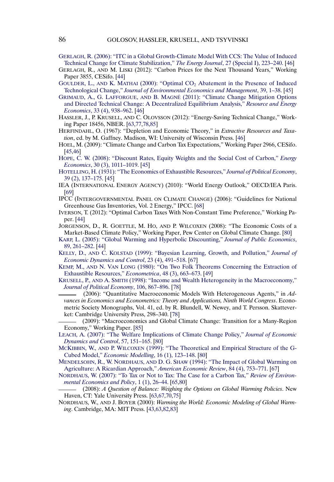- <span id="page-46-0"></span>[GERLAGH, R. \(2006\): "ITC in a Global Growth-Climate Model With CCS: The Value of Induced](http://www.e-publications.org/srv/ecta/linkserver/openurl?rft_dat=bib:19/Ger2006&rfe_id=urn:sici%2F0012-9682%28201401%2982%3A1%3C41%3AOTOFFI%3E2.0.CO%3B2-L) [Technical Change for Climate Stabilization,"](http://www.e-publications.org/srv/ecta/linkserver/openurl?rft_dat=bib:19/Ger2006&rfe_id=urn:sici%2F0012-9682%28201401%2982%3A1%3C41%3AOTOFFI%3E2.0.CO%3B2-L) *The Energy Journal*, 27 (Special I), 223–240. [\[46\]](#page-5-0)
- GERLAGH, R., AND M. LISKI (2012): "Carbon Prices for the Next Thousand Years," Working Paper 3855, CESifo. [\[44\]](#page-3-0)
- GOULDER, L., AND K. MATHAI (2000): "Optimal CO2 [Abatement in the Presence of Induced](http://www.e-publications.org/srv/ecta/linkserver/openurl?rft_dat=bib:21/GouMat2000&rfe_id=urn:sici%2F0012-9682%28201401%2982%3A1%3C41%3AOTOFFI%3E2.0.CO%3B2-L) Technological Change," *[Journal of Environmental Economics and Management](http://www.e-publications.org/srv/ecta/linkserver/openurl?rft_dat=bib:21/GouMat2000&rfe_id=urn:sici%2F0012-9682%28201401%2982%3A1%3C41%3AOTOFFI%3E2.0.CO%3B2-L)*, 39, 1–38. [\[45\]](#page-4-0)
- GRIMAUD, A., G. LAFFORGUE, AND B. MAGNÉ [\(2011\): "Climate Change Mitigation Options](http://www.e-publications.org/srv/ecta/linkserver/openurl?rft_dat=bib:22/Grietal2011&rfe_id=urn:sici%2F0012-9682%28201401%2982%3A1%3C41%3AOTOFFI%3E2.0.CO%3B2-L) [and Directed Technical Change: A Decentralized Equilibrium Analysis,"](http://www.e-publications.org/srv/ecta/linkserver/openurl?rft_dat=bib:22/Grietal2011&rfe_id=urn:sici%2F0012-9682%28201401%2982%3A1%3C41%3AOTOFFI%3E2.0.CO%3B2-L) *Resource and Energy Economics*[, 33 \(4\), 938–962.](http://www.e-publications.org/srv/ecta/linkserver/openurl?rft_dat=bib:22/Grietal2011&rfe_id=urn:sici%2F0012-9682%28201401%2982%3A1%3C41%3AOTOFFI%3E2.0.CO%3B2-L) [\[46\]](#page-5-0)
- HASSLER, J., P. KRUSELL, AND C. OLOVSSON (2012): "Energy-Saving Technical Change," Working Paper 18456, NBER. [\[63](#page-22-0)[,77,](#page-36-0)[78,](#page-37-0)[85\]](#page-44-0)
- HERFINDAHL, O. (1967): "Depletion and Economic Theory," in *Extractive Resources and Taxation*, ed. by M. Gaffney. Madison, WI: University of Wisconsin Press. [\[46\]](#page-5-0)
- HOEL, M. (2009): "Climate Change and Carbon Tax Expectations," Working Paper 2966, CESifo. [\[45,](#page-4-0)[46\]](#page-5-0)
- [HOPE, C. W. \(2008\): "Discount Rates, Equity Weights and the Social Cost of Carbon,"](http://www.e-publications.org/srv/ecta/linkserver/openurl?rft_dat=bib:26/Hop2008&rfe_id=urn:sici%2F0012-9682%28201401%2982%3A1%3C41%3AOTOFFI%3E2.0.CO%3B2-L) *Energy Economics*[, 30 \(3\), 1011–1019.](http://www.e-publications.org/srv/ecta/linkserver/openurl?rft_dat=bib:26/Hop2008&rfe_id=urn:sici%2F0012-9682%28201401%2982%3A1%3C41%3AOTOFFI%3E2.0.CO%3B2-L) [\[45\]](#page-4-0)
- [HOTELLING, H. \(1931\): "The Economics of Exhaustible Resources,"](http://www.e-publications.org/srv/ecta/linkserver/openurl?rft_dat=bib:27/Hot1931&rfe_id=urn:sici%2F0012-9682%28201401%2982%3A1%3C41%3AOTOFFI%3E2.0.CO%3B2-L) *Journal of Political Economy*, [39 \(2\), 137–175.](http://www.e-publications.org/srv/ecta/linkserver/openurl?rft_dat=bib:27/Hot1931&rfe_id=urn:sici%2F0012-9682%28201401%2982%3A1%3C41%3AOTOFFI%3E2.0.CO%3B2-L) [\[45\]](#page-4-0)
- IEA (INTERNATIONAL ENERGY AGENCY) (2010): "World Energy Outlook," OECD/IEA Paris. [\[69\]](#page-28-0)
- IPCC (INTERGOVERNMENTAL PANEL ON CLIMATE CHANGE) (2006): "Guidelines for National Greenhouse Gas Inventories, Vol. 2 Energy," IPCC. [\[68\]](#page-27-0)
- IVERSON, T. (2012): "Optimal Carbon Taxes With Non-Constant Time Preference," Working Paper. [\[44\]](#page-3-0)
- JORGENSON, D., R. GOETTLE, M. HO, AND P. WILCOXEN (2008): "The Economic Costs of a Market-Based Climate Policy," Working Paper, Pew Center on Global Climate Change. [\[80\]](#page-39-0)
- [KARP, L. \(2005\): "Global Warming and Hyperbolic Discounting,"](http://www.e-publications.org/srv/ecta/linkserver/openurl?rft_dat=bib:32/Kar2005&rfe_id=urn:sici%2F0012-9682%28201401%2982%3A1%3C41%3AOTOFFI%3E2.0.CO%3B2-L) *Journal of Public Economics*, [89, 261–282.](http://www.e-publications.org/srv/ecta/linkserver/openurl?rft_dat=bib:32/Kar2005&rfe_id=urn:sici%2F0012-9682%28201401%2982%3A1%3C41%3AOTOFFI%3E2.0.CO%3B2-L) [\[44\]](#page-3-0)
- KELLY, D., AND C. KOLSTAD [\(1999\): "Bayesian Learning, Growth, and Pollution,"](http://www.e-publications.org/srv/ecta/linkserver/openurl?rft_dat=bib:33/KelKol1999&rfe_id=urn:sici%2F0012-9682%28201401%2982%3A1%3C41%3AOTOFFI%3E2.0.CO%3B2-L) *Journal of [Economic Dynamics and Control](http://www.e-publications.org/srv/ecta/linkserver/openurl?rft_dat=bib:33/KelKol1999&rfe_id=urn:sici%2F0012-9682%28201401%2982%3A1%3C41%3AOTOFFI%3E2.0.CO%3B2-L)*, 23 (4), 491–518. [\[67\]](#page-26-0)
- KEMP, M., AND N. VAN LONG [\(1980\): "On Two Folk Theorems Concerning the Extraction of](http://www.e-publications.org/srv/ecta/linkserver/openurl?rft_dat=bib:34/KemLon1980&rfe_id=urn:sici%2F0012-9682%28201401%2982%3A1%3C41%3AOTOFFI%3E2.0.CO%3B2-L) [Exhaustible Resources,"](http://www.e-publications.org/srv/ecta/linkserver/openurl?rft_dat=bib:34/KemLon1980&rfe_id=urn:sici%2F0012-9682%28201401%2982%3A1%3C41%3AOTOFFI%3E2.0.CO%3B2-L) *Econometrica*, 48 (3), 663–673. [\[49\]](#page-8-0)
- KRUSELL, P., AND A. SMITH [\(1998\): "Income and Wealth Heterogeneity in the Macroeconomy,"](http://www.e-publications.org/srv/ecta/linkserver/openurl?rft_dat=bib:35/KruSmi1998&rfe_id=urn:sici%2F0012-9682%28201401%2982%3A1%3C41%3AOTOFFI%3E2.0.CO%3B2-L) *[Journal of Political Economy](http://www.e-publications.org/srv/ecta/linkserver/openurl?rft_dat=bib:35/KruSmi1998&rfe_id=urn:sici%2F0012-9682%28201401%2982%3A1%3C41%3AOTOFFI%3E2.0.CO%3B2-L)*, 106, 867–896. [\[78\]](#page-37-0)

(2006): "Quantitative Macroeconomic Models With Heterogeneous Agents," in *Advances in Economics and Econometrics: Theory and Applications, Ninth World Congress*. Econometric Society Monographs, Vol. 41, ed. by R. Blundell, W. Newey, and T. Persson. Skatteverket: Cambridge University Press, 298–340. [\[78\]](#page-37-0)

- (2009): "Macroeconomics and Global Climate Change: Transition for a Many-Region Economy," Working Paper. [\[85\]](#page-44-0)
- [LEACH, A. \(2007\): "The Welfare Implications of Climate Change Policy,"](http://www.e-publications.org/srv/ecta/linkserver/openurl?rft_dat=bib:38/Lea2007&rfe_id=urn:sici%2F0012-9682%28201401%2982%3A1%3C41%3AOTOFFI%3E2.0.CO%3B2-L) *Journal of Economic [Dynamics and Control](http://www.e-publications.org/srv/ecta/linkserver/openurl?rft_dat=bib:38/Lea2007&rfe_id=urn:sici%2F0012-9682%28201401%2982%3A1%3C41%3AOTOFFI%3E2.0.CO%3B2-L)*, 57, 151–165. [\[80\]](#page-39-0)
- MCKIBBIN, W., AND P. WILCOXEN [\(1999\): "The Theoretical and Empirical Structure of the G-](http://www.e-publications.org/srv/ecta/linkserver/openurl?rft_dat=bib:39/McKWil1999&rfe_id=urn:sici%2F0012-9682%28201401%2982%3A1%3C41%3AOTOFFI%3E2.0.CO%3B2-L)Cubed Model," *[Economic Modelling](http://www.e-publications.org/srv/ecta/linkserver/openurl?rft_dat=bib:39/McKWil1999&rfe_id=urn:sici%2F0012-9682%28201401%2982%3A1%3C41%3AOTOFFI%3E2.0.CO%3B2-L)*, 16 (1), 123–148. [\[80\]](#page-39-0)
- MENDELSOHN, R., W. NORDHAUS, AND D. G. SHAW [\(1994\): "The Impact of Global Warming on](http://www.e-publications.org/srv/ecta/linkserver/openurl?rft_dat=bib:40/Menetal1994&rfe_id=urn:sici%2F0012-9682%28201401%2982%3A1%3C41%3AOTOFFI%3E2.0.CO%3B2-L) [Agriculture: A Ricardian Approach,"](http://www.e-publications.org/srv/ecta/linkserver/openurl?rft_dat=bib:40/Menetal1994&rfe_id=urn:sici%2F0012-9682%28201401%2982%3A1%3C41%3AOTOFFI%3E2.0.CO%3B2-L) *American Economic Review*, 84 (4), 753–771. [\[67\]](#page-26-0)
- [NORDHAUS, W. \(2007\): "To Tax or Not to Tax: The Case for a Carbon Tax,"](http://www.e-publications.org/srv/ecta/linkserver/openurl?rft_dat=bib:41/Nor2007&rfe_id=urn:sici%2F0012-9682%28201401%2982%3A1%3C41%3AOTOFFI%3E2.0.CO%3B2-L) *Review of Environ[mental Economics and Policy](http://www.e-publications.org/srv/ecta/linkserver/openurl?rft_dat=bib:41/Nor2007&rfe_id=urn:sici%2F0012-9682%28201401%2982%3A1%3C41%3AOTOFFI%3E2.0.CO%3B2-L)*, 1 (1), 26–44. [\[65,](#page-24-0)[80\]](#page-39-0)
- (2008): *A Question of Balance: Weighing the Options on Global Warming Policies*. New Haven, CT: Yale University Press. [\[63,](#page-22-0)[67](#page-26-0)[,70,](#page-29-0)[75\]](#page-34-0)
- NORDHAUS, W., AND J. BOYER (2000): *Warming the World: Economic Modeling of Global Warming*. Cambridge, MA: MIT Press. [\[43,](#page-2-0)[63](#page-22-0)[,82,](#page-41-0)[83\]](#page-42-0)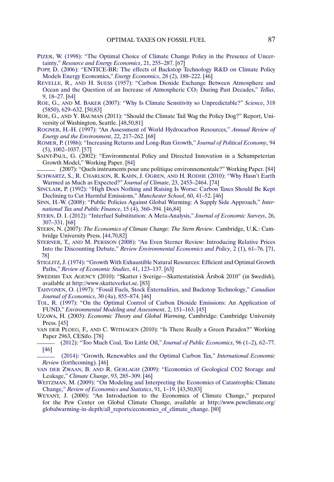- <span id="page-47-0"></span>[PIZER, W. \(1998\): "The Optimal Choice of Climate Change Policy in the Presence of Uncer](http://www.e-publications.org/srv/ecta/linkserver/openurl?rft_dat=bib:44/Piz1998&rfe_id=urn:sici%2F0012-9682%28201401%2982%3A1%3C41%3AOTOFFI%3E2.0.CO%3B2-L)tainty," *[Resource and Energy Economics](http://www.e-publications.org/srv/ecta/linkserver/openurl?rft_dat=bib:44/Piz1998&rfe_id=urn:sici%2F0012-9682%28201401%2982%3A1%3C41%3AOTOFFI%3E2.0.CO%3B2-L)*, 21, 255–287. [\[67\]](#page-26-0)
- [POPP, D. \(2006\): "ENTICE-BR: The effects of Backstop Technology R&D on Climate Policy](http://www.e-publications.org/srv/ecta/linkserver/openurl?rft_dat=bib:45/Pop2006&rfe_id=urn:sici%2F0012-9682%28201401%2982%3A1%3C41%3AOTOFFI%3E2.0.CO%3B2-L) [Models Energy Economics,"](http://www.e-publications.org/srv/ecta/linkserver/openurl?rft_dat=bib:45/Pop2006&rfe_id=urn:sici%2F0012-9682%28201401%2982%3A1%3C41%3AOTOFFI%3E2.0.CO%3B2-L) *Energy Economics*, 28 (2), 188–222. [\[46\]](#page-5-0)
- REVELLE, R., AND H. SUESS [\(1957\): "Carbon Dioxide Exchange Between Atmosphere and](http://www.e-publications.org/srv/ecta/linkserver/openurl?rft_dat=bib:46/RevSue1957&rfe_id=urn:sici%2F0012-9682%28201401%2982%3A1%3C41%3AOTOFFI%3E2.0.CO%3B2-L) [Ocean and the Question of an Increase of Atmospheric CO2](http://www.e-publications.org/srv/ecta/linkserver/openurl?rft_dat=bib:46/RevSue1957&rfe_id=urn:sici%2F0012-9682%28201401%2982%3A1%3C41%3AOTOFFI%3E2.0.CO%3B2-L) During Past Decades," *Tellus*, [9, 18–27.](http://www.e-publications.org/srv/ecta/linkserver/openurl?rft_dat=bib:46/RevSue1957&rfe_id=urn:sici%2F0012-9682%28201401%2982%3A1%3C41%3AOTOFFI%3E2.0.CO%3B2-L) [\[64\]](#page-23-0)
- ROE, G., AND M. BAKER [\(2007\): "Why Is Climate Sensitivity so Unpredictable?"](http://www.e-publications.org/srv/ecta/linkserver/openurl?rft_dat=bib:47/RoeBak2007&rfe_id=urn:sici%2F0012-9682%28201401%2982%3A1%3C41%3AOTOFFI%3E2.0.CO%3B2-L) *Science*, 318 [\(5850\), 629–632.](http://www.e-publications.org/srv/ecta/linkserver/openurl?rft_dat=bib:47/RoeBak2007&rfe_id=urn:sici%2F0012-9682%28201401%2982%3A1%3C41%3AOTOFFI%3E2.0.CO%3B2-L) [\[50,](#page-9-0)[83\]](#page-42-0)
- ROE, G., AND Y. BAUMAN (2011): "Should the Climate Tail Wag the Policy Dog?" Report, University of Washington, Seattle. [\[48](#page-7-0)[,50,](#page-9-0)[81\]](#page-40-0)
- [ROGNER, H.-H. \(1997\): "An Assessment of World Hydrocarbon Resources,"](http://www.e-publications.org/srv/ecta/linkserver/openurl?rft_dat=bib:49/Rog1997&rfe_id=urn:sici%2F0012-9682%28201401%2982%3A1%3C41%3AOTOFFI%3E2.0.CO%3B2-L) *Annual Review of [Energy and the Environment](http://www.e-publications.org/srv/ecta/linkserver/openurl?rft_dat=bib:49/Rog1997&rfe_id=urn:sici%2F0012-9682%28201401%2982%3A1%3C41%3AOTOFFI%3E2.0.CO%3B2-L)*, 22, 217–262. [\[68\]](#page-27-0)
- [ROMER, P. \(1986\): "Increasing Returns and Long-Run Growth,"](http://www.e-publications.org/srv/ecta/linkserver/openurl?rft_dat=bib:50/Rom1986&rfe_id=urn:sici%2F0012-9682%28201401%2982%3A1%3C41%3AOTOFFI%3E2.0.CO%3B2-L) *Journal of Political Economy*, 94 [\(5\), 1002–1037.](http://www.e-publications.org/srv/ecta/linkserver/openurl?rft_dat=bib:50/Rom1986&rfe_id=urn:sici%2F0012-9682%28201401%2982%3A1%3C41%3AOTOFFI%3E2.0.CO%3B2-L) [\[57\]](#page-16-0)
- SAINT-PAUL, G. (2002): "Environmental Policy and Directed Innovation in a Schumpeterian Growth Model," Working Paper. [\[84\]](#page-43-0)
- (2007): "Quels instruments pour une politique environnementale?" Working Paper. [\[84\]](#page-43-0) [SCHWARTZ, S., R. CHARLSON, R. KAHN, J. OGREN,](http://www.e-publications.org/srv/ecta/linkserver/openurl?rft_dat=bib:53/Schetal2010&rfe_id=urn:sici%2F0012-9682%28201401%2982%3A1%3C41%3AOTOFFI%3E2.0.CO%3B2-L) AND H. RODHE (2010): "Why Hasn't Earth [Warmed as Much as Expected?"](http://www.e-publications.org/srv/ecta/linkserver/openurl?rft_dat=bib:53/Schetal2010&rfe_id=urn:sici%2F0012-9682%28201401%2982%3A1%3C41%3AOTOFFI%3E2.0.CO%3B2-L) *Journal of Climate*, 23, 2453–2464. [\[74\]](#page-33-0)
- [SINCLAIR, P. \(1992\): "High Does Nothing and Raising Is Worse: Carbon Taxes Should Be Kept](http://www.e-publications.org/srv/ecta/linkserver/openurl?rft_dat=bib:54/Sin1992&rfe_id=urn:sici%2F0012-9682%28201401%2982%3A1%3C41%3AOTOFFI%3E2.0.CO%3B2-L) [Declining to Cut Harmful Emissions,"](http://www.e-publications.org/srv/ecta/linkserver/openurl?rft_dat=bib:54/Sin1992&rfe_id=urn:sici%2F0012-9682%28201401%2982%3A1%3C41%3AOTOFFI%3E2.0.CO%3B2-L) *Manchester School*, 60, 41–52. [\[46\]](#page-5-0)
- [SINN, H.-W. \(2008\): "Public Policies Against Global Warming: A Supply Side Approach,"](http://www.e-publications.org/srv/ecta/linkserver/openurl?rft_dat=bib:55/Sin2008&rfe_id=urn:sici%2F0012-9682%28201401%2982%3A1%3C41%3AOTOFFI%3E2.0.CO%3B2-L) *Inter[national Tax and Public Finance](http://www.e-publications.org/srv/ecta/linkserver/openurl?rft_dat=bib:55/Sin2008&rfe_id=urn:sici%2F0012-9682%28201401%2982%3A1%3C41%3AOTOFFI%3E2.0.CO%3B2-L)*, 15 (4), 360–394. [\[46](#page-5-0)[,84\]](#page-43-0)
- [STERN, D. I. \(2012\): "Interfuel Substitution: A Meta-Analysis,"](http://www.e-publications.org/srv/ecta/linkserver/openurl?rft_dat=bib:56/Ste2012&rfe_id=urn:sici%2F0012-9682%28201401%2982%3A1%3C41%3AOTOFFI%3E2.0.CO%3B2-L) *Journal of Economic Surveys*, 26, [307–331.](http://www.e-publications.org/srv/ecta/linkserver/openurl?rft_dat=bib:56/Ste2012&rfe_id=urn:sici%2F0012-9682%28201401%2982%3A1%3C41%3AOTOFFI%3E2.0.CO%3B2-L) [\[68\]](#page-27-0)
- STERN, N. (2007): *The Economics of Climate Change: The Stern Review*. Cambridge, U.K.: Cambridge University Press. [\[44,](#page-3-0)[70,](#page-29-0)[82\]](#page-41-0)
- STERNER, T., AND M. PERSSON [\(2008\): "An Even Sterner Review: Introducing Relative Prices](http://www.e-publications.org/srv/ecta/linkserver/openurl?rft_dat=bib:58/StePer2008&rfe_id=urn:sici%2F0012-9682%28201401%2982%3A1%3C41%3AOTOFFI%3E2.0.CO%3B2-L) Into the Discounting Debate," *[Review Environmental Economics and Policy](http://www.e-publications.org/srv/ecta/linkserver/openurl?rft_dat=bib:58/StePer2008&rfe_id=urn:sici%2F0012-9682%28201401%2982%3A1%3C41%3AOTOFFI%3E2.0.CO%3B2-L)*, 2 (1), 61–76. [\[71,](#page-30-0) [78\]](#page-37-0)
- [STIGLITZ, J. \(1974\): "Growth With Exhaustible Natural Resources: Efficient and Optimal Growth](http://www.e-publications.org/srv/ecta/linkserver/openurl?rft_dat=bib:59/Sti1974&rfe_id=urn:sici%2F0012-9682%28201401%2982%3A1%3C41%3AOTOFFI%3E2.0.CO%3B2-L) Paths," *[Review of Economic Studies](http://www.e-publications.org/srv/ecta/linkserver/openurl?rft_dat=bib:59/Sti1974&rfe_id=urn:sici%2F0012-9682%28201401%2982%3A1%3C41%3AOTOFFI%3E2.0.CO%3B2-L)*, 41, 123–137. [\[63\]](#page-22-0)
- SWEDISH TAX AGENCY (2010): "Skatter i Sverige—Skattestatistisk Årsbok 2010" (in Swedish), available at [http://www.skatteverket.se.](http://www.skatteverket.se) [\[83\]](#page-42-0)
- [TAHVONEN, O. \(1997\): "Fossil Fuels, Stock Externalities, and Backstop Technology,"](http://www.e-publications.org/srv/ecta/linkserver/openurl?rft_dat=bib:61/Tah1997&rfe_id=urn:sici%2F0012-9682%28201401%2982%3A1%3C41%3AOTOFFI%3E2.0.CO%3B2-L) *Canadian [Journal of Economics](http://www.e-publications.org/srv/ecta/linkserver/openurl?rft_dat=bib:61/Tah1997&rfe_id=urn:sici%2F0012-9682%28201401%2982%3A1%3C41%3AOTOFFI%3E2.0.CO%3B2-L)*, 30 (4a), 855–874. [\[46\]](#page-5-0)
- [TOL, R. \(1997\): "On the Optimal Control of Carbon Dioxide Emissions: An Application of](http://www.e-publications.org/srv/ecta/linkserver/openurl?rft_dat=bib:62/Tol1997&rfe_id=urn:sici%2F0012-9682%28201401%2982%3A1%3C41%3AOTOFFI%3E2.0.CO%3B2-L) FUND," *[Environmental Modeling and Assessment](http://www.e-publications.org/srv/ecta/linkserver/openurl?rft_dat=bib:62/Tol1997&rfe_id=urn:sici%2F0012-9682%28201401%2982%3A1%3C41%3AOTOFFI%3E2.0.CO%3B2-L)*, 2, 151–163. [\[45\]](#page-4-0)
- UZAWA, H. (2003): *Economic Theory and Global Warming*, Cambridge: Cambridge University Press. [\[45\]](#page-4-0)
- VAN DER PLOEG, F., AND C. WITHAGEN (2010): "Is There Really a Green Paradox?" Working Paper 2963, CESifo. [\[78\]](#page-37-0)
- [\(2012\): "Too Much Coal, Too Little Oil,"](http://www.e-publications.org/srv/ecta/linkserver/openurl?rft_dat=bib:65/PloWit2012&rfe_id=urn:sici%2F0012-9682%28201401%2982%3A1%3C41%3AOTOFFI%3E2.0.CO%3B2-L) *Journal of Public Economics*, 96 (1–2), 62–77. [\[46\]](#page-5-0)
- [\(2014\): "Growth, Renewables and the Optimal Carbon Tax,"](http://www.e-publications.org/srv/ecta/linkserver/openurl?rft_dat=bib:66/PloWit2012N1&rfe_id=urn:sici%2F0012-9682%28201401%2982%3A1%3C41%3AOTOFFI%3E2.0.CO%3B2-L) *International Economic Review* [\(forthcoming\).](http://www.e-publications.org/srv/ecta/linkserver/openurl?rft_dat=bib:66/PloWit2012N1&rfe_id=urn:sici%2F0012-9682%28201401%2982%3A1%3C41%3AOTOFFI%3E2.0.CO%3B2-L) [\[46\]](#page-5-0)
- VAN DER ZWAAN, B. AND R. GERLAGH [\(2009\): "Economics of Geological CO2 Storage and](http://www.e-publications.org/srv/ecta/linkserver/openurl?rft_dat=bib:67/ZwaGer2009&rfe_id=urn:sici%2F0012-9682%28201401%2982%3A1%3C41%3AOTOFFI%3E2.0.CO%3B2-L) Leakage," *[Climate Change](http://www.e-publications.org/srv/ecta/linkserver/openurl?rft_dat=bib:67/ZwaGer2009&rfe_id=urn:sici%2F0012-9682%28201401%2982%3A1%3C41%3AOTOFFI%3E2.0.CO%3B2-L)*, 93, 285–309. [\[46\]](#page-5-0)
- [WEITZMAN, M. \(2009\): "On Modeling and Interpreting the Economics of Catastrophic Climate](http://www.e-publications.org/srv/ecta/linkserver/openurl?rft_dat=bib:68/Wei2009&rfe_id=urn:sici%2F0012-9682%28201401%2982%3A1%3C41%3AOTOFFI%3E2.0.CO%3B2-L) Change," *[Review of Economics and Statistics](http://www.e-publications.org/srv/ecta/linkserver/openurl?rft_dat=bib:68/Wei2009&rfe_id=urn:sici%2F0012-9682%28201401%2982%3A1%3C41%3AOTOFFI%3E2.0.CO%3B2-L)*, 91, 1–19. [\[43,](#page-2-0)[50](#page-9-0)[,83\]](#page-42-0)
- WEYANT, J. (2000): "An Introduction to the Economics of Climate Change," prepared for the Pew Center on Global Climate Change, available at [http://www.pewclimate.org/](http://www.pewclimate.org/globalwarming-in-depth/all_reports/economics_of_climate_change) [globalwarming-in-depth/all\\_reports/economics\\_of\\_climate\\_change](http://www.pewclimate.org/globalwarming-in-depth/all_reports/economics_of_climate_change). [\[80\]](#page-39-0)